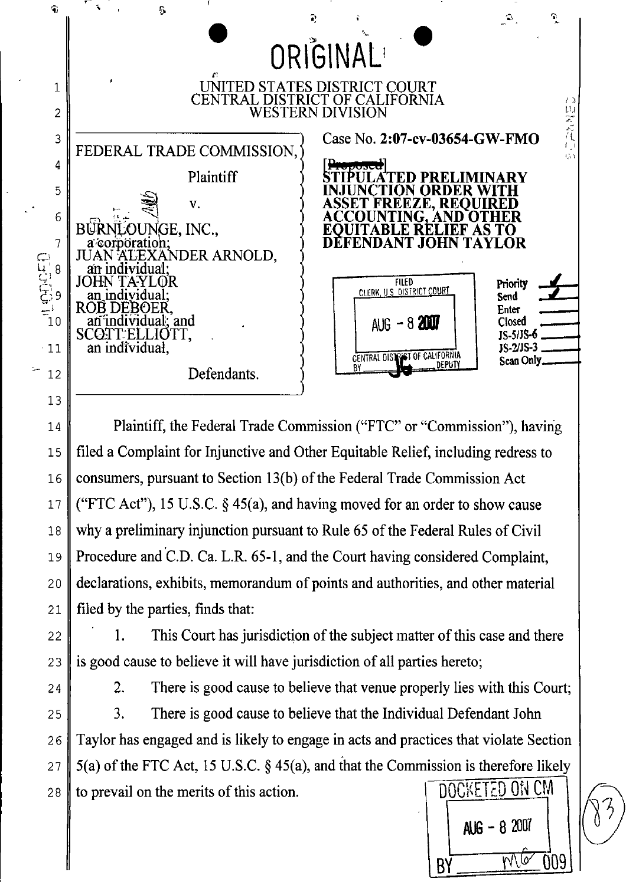

Plaintiff, the Federal Trade Commission ("FTC" or "Commission"), having filed a Complaint for Injunctive and Other Equitable Relief, including redress to consumers, pursuant to Section 13(b) of the Federal Trade Commission Act ("FTC Act"), 15 U.S.C.  $\S$  45(a), and having moved for an order to show cause why a preliminary injunction pursuant to Rule 65 of the Federal Rules of Civil Procedure and C.D. Ca. L.R. 65-1, and the Court having considered Complaint, declarations, exhibits, memorandum of points and authorities, and other material filed by the parties, finds that:

This Court has jurisdiction of the subject matter of this case and there  $1<sub>1</sub>$ is good cause to believe it will have jurisdiction of all parties hereto;

 $14$ 

 $15$ 

16

 $17$ 

18

19

20

21

22

23

24

 $\overline{2}$ . There is good cause to believe that venue properly lies with this Court;

There is good cause to believe that the Individual Defendant John 3. 25 Taylor has engaged and is likely to engage in acts and practices that violate Section 26  $5(a)$  of the FTC Act, 15 U.S.C. § 45(a), and that the Commission is therefore likely 27 **DOCKETED ON CM** to prevail on the merits of this action. 28

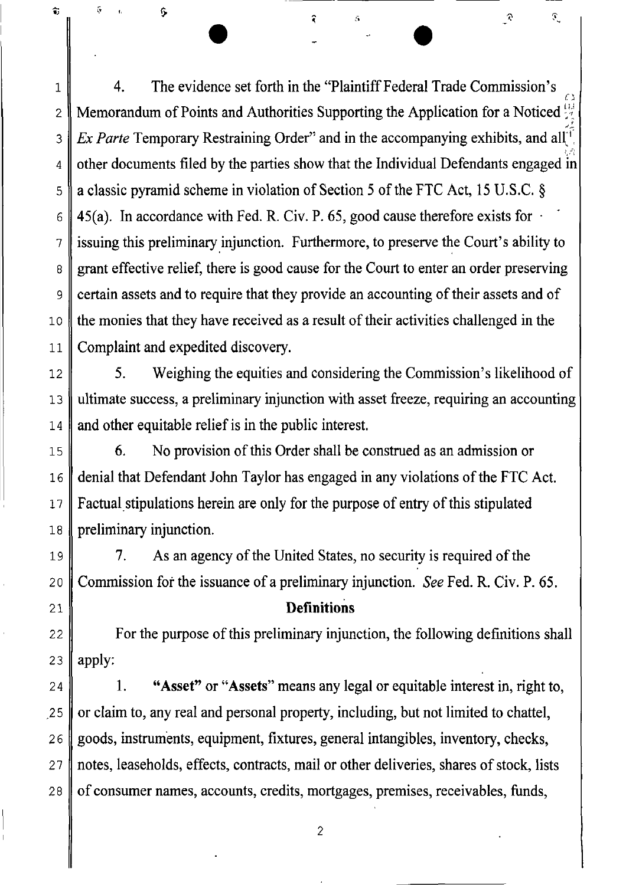4. The evidence set forth in the "Plaintiff Federal Trade Commission's  $\iota$  . Memorandum of Points and Authorities Supporting the Application for a Noticed  $\frac{11}{16}$ بر<br>أو م *Ex Parte* Temporary Restraining Order" and in the accompanying exhibits, and all<sup>+</sup>. , .;-, other documents filed by the parties show that the Individual Defendants engaged  $\overline{in}$ a classic pyramid scheme in violation of Section 5 of the FTC Act, 15 U.S.C. § 45(a). In accordance with Fed. R. Civ. P. 65, good cause therefore exists for  $\cdot$ issuing this preliminary injunction. Furthermore, to preserve the Court's ability to grant effective relief, there is good cause for the Court to enter an order preserving certain assets and to require that they provide an accounting of their assets and of the monies that they have received as a result of their activities challenged in the Complaint and expedited discovery.

• •

 $\mathfrak{I}$ 

 $\mathcal{L}$ 

1

 $\widehat{\mathbf{t}}$ 

 $\hat{\mathbf{S}}$ 

Ģ

2

*3* 

4

5

6

7

8

9

10

11

19

20

21

12 13 14 5. Weighing the equities and considering the Commission's likelihood of ultimate success, a preliminary injunction with asset freeze, requiring an accounting and other equitable relief is in the public interest.

15 16 17 18 6. No provision of this Order shall be construed as an admission or denial that Defendant John Taylor has engaged in any violations of the FTC Act. Factual stipulations herein are only for the purpose of entry of this stipulated preliminary injunction.

7. As an agency of the United States, no security is required of the Commission for the issuance of a preliminary injunction. *See* Fed. R. Civ. P. 65.

### **Definitions**

22 23 For the purpose of this preliminary injunction, the following definitions shall apply:

24 .25 26 27 28 1. "Asset" or "Assets" means any legal or equitable interest in, right to, or claimto, any real and personal property, including, but not limited to chattel, goods, instruments, equipment, fixtures, general intangibles, inventory, checks, notes, leaseholds, effects, contracts, mail or other deliveries, shares of stock, lists of consumer names, accounts, credits, mortgages, premises, receivables, funds,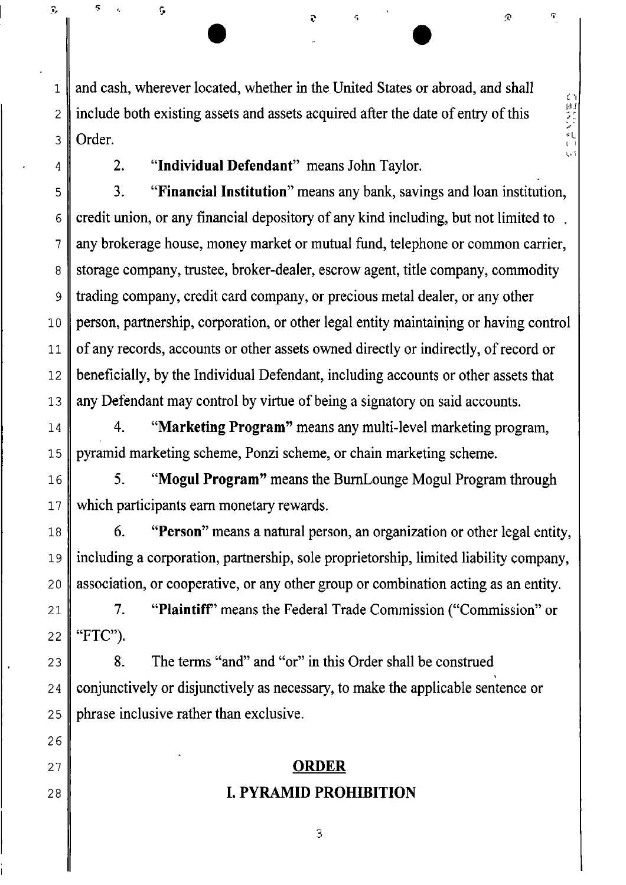and cash, wherever located, whether in the United States or abroad, and shall include both existing assets and assets acquired after the date of entry of this Order.

 $\bullet$   $\bullet$   $\bullet$   $\bullet$   $\bullet$   $\bullet$ 

 $\widehat{\mathbf{r}}$ 

いほうこし

 $\mathbb{Q}$ 

1

 $\hat{v}$ 

 $\mathbb{G}$ 

Ģ

2

3

4

5

7

10

11

16

17

26

27

28

2. "Individual Defendant" means John Taylor.

6 8 9 12 13 3. "Financial Institution" means any bank, savings and loan institution, credit union, or any financial depository of any kind including, but not limited to . any brokerage house, money market or mutual fund, telephone or common carrier, storage company, trustee, broker-dealer, escrow agent, title company, commodity trading company, credit card company, or precious metal dealer, or any other person, partnership, corporation, or other legal entity maintaining or having control of any records, accounts or other assets owned directly or indirectly, of record or beneficially, by the Individual Defendant, including accounts or other assets that any Defendant may control by virtue of being a signatory on said accounts.

14 15 4. "Marketing Program" means any multi-level marketing program, pyramid marketing scheme, Ponzi scheme, or chain marketing scheme.

5. "Mogul Program" means the BurnLounge Mogul Program through which participants earn monetary rewards.

18 19 20 6. "Person" means a natural person, an organization or other legal entity, including a corporation, partnership, sole proprietorship, limited liability company, association, or cooperative, or any other group or combination acting as an entity.

21 22 7. "Plaintiff' means the Federal Trade Commission ("Commission" or "FTC").

23 24 25 8. The terms "and" and "or" in this Order shall be construed<br>conjunctively or disjunctively as necessary, to make the applicable sentence or phrase inclusive rather than exclusive.

# ORDER I. PYRAMID PROHIBITION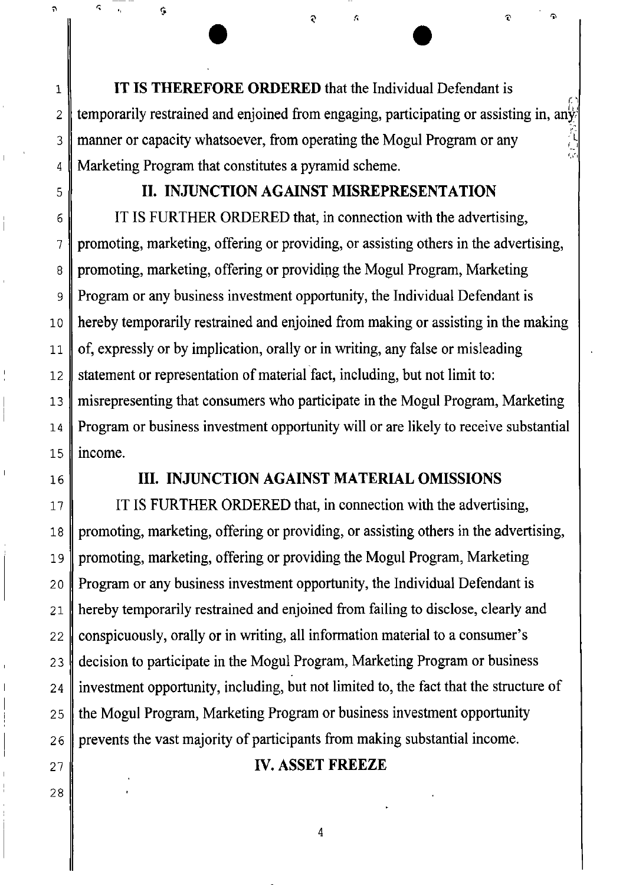**IT IS THEREFORE ORDERED** that the Individual Defendant is n temporarily restrained and enjoined from engaging, participating or assisting in, any manner or capacity whatsoever, from operating the Mogul Program or any Marketing Program that constitutes a pyramid scheme. ;:~  $(\sqrt{2})$ 

 $\bullet$   $\bullet$   $\bullet$   $\bullet$ 

### **II. INJUNCTION AGAINST MISREPRESENTATION**

IT IS FURTHER ORDERED that, in connection with the advertising, promoting, marketing, offering or providing, or assisting others in the advertising, promoting, marketing, offering or providing the Mogul Program, Marketing Program or any business investment opportunity, the Individual Defendant is hereby temporarily restrained and enjoined from making or assisting in the making of, expressly or by implication, orally or in writing, any false or misleading statement or representation of material fact, including, but not limit to: misrepresenting that consumers who participate in the Mogul Program, Marketing Program or business investment opportunity will or are likely to receive substantial income.

16

1

 $\ddot{\phantom{1}}$ 

 $\hat{\mathbf{r}}$ 

Ģ

2

3

4

5

6

7

8

9

10

11

12

13

14

15

27

28

### **III. INJUNCTION AGAINST MATERIAL OMISSIONS**

17 18 19 2 a 21 22 23 24 25 26 IT IS FURTHER ORDERED that, in connection with the advertising, promoting, marketing, offering or providing, or assisting others in the advertising, promoting, marketing, offering or providing the Mogul Program, Marketing Program or any business investment opportunity, the Individual Defendant is hereby temporarily restrained and enjoined from failing to disclose, clearly and conspicuously, orally or in writing, all information material to a consumer's decision to participate in the Mogul Program, Marketing Program or business investment opportunity, including, but not limited to, the fact that the structure of the Mogul Program, Marketing Program or business investment opportunity prevents the vast majority of participants from making substantial income.

### **IV. ASSET FREEZE**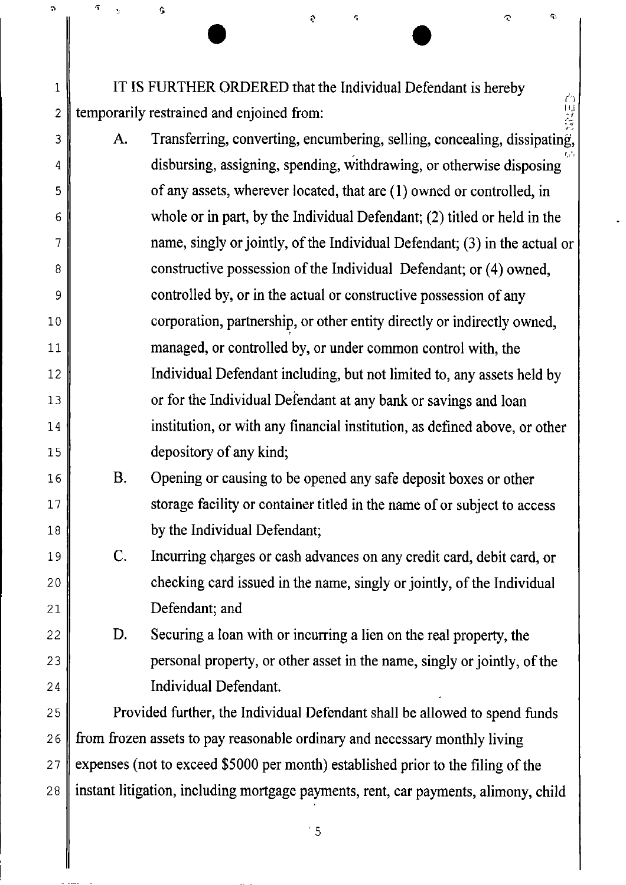IT IS FURTHER ORDERED that the Individual Defendant is hereby . temporarily restrained and enjoined from:

1

 $\ddot{\text{a}}$ 

Ç

Ģ

2

3

4

5

6

7

8

9

10

11

12

13

14

15

16

17

18

19

20

21

22

23

24

25

26

27

28

 $\bullet$ 

 $\ddot{\bullet}$ 

- ng<br>Ngj A. Transferring, converting, encumbering, selling, concealing, dissipating, *r.* <sup>I</sup> ' , disbursing, assigning, spending, withdrawing, or otherwise disposing of any assets, wherever located, that are (1) owned or controlled, in whole or in part, by the Individual Defendant; (2) titled or held in the name, singly or jointly, of the Individual Defendant; (3) in the actual or constructive possession of the Individual Defendant; or (4) owned, controlled by, or in the actual or constructive possession of any corporation, partnership, or other entity directly or indirectly owned, managed, or controlled by, or under common control with, the Individual Defendant including, but not limited to, any assets held by or for the Individual Defendant at any bank or savings and loan institution, or with any financial institution, as defined above, or other depository of any kind;
	- B. Opening or causing to be opened any safe deposit boxes or other storage facility or container titled in the name of or subject to access by the Individual Defendant;
		- C. Incurring charges or cash advances on any credit card, debit card, or checking card issued in the name, singly or jointly, of the Individual Defendant; and

D. Securing a loan with or incurring a lien on the real property, the personal property, or other asset in the name, singly or jointly, of the Individual Defendant.

Provided further, the Individual Defendant shall be allowed to spend funds from frozen assets to pay reasonable ordinary and necessary monthly living expenses (not to exceed \$5000 per month) established prior to the filing of the instant litigation, including mortgage payments, rent, car payments, alimony, child

 $\degree$  5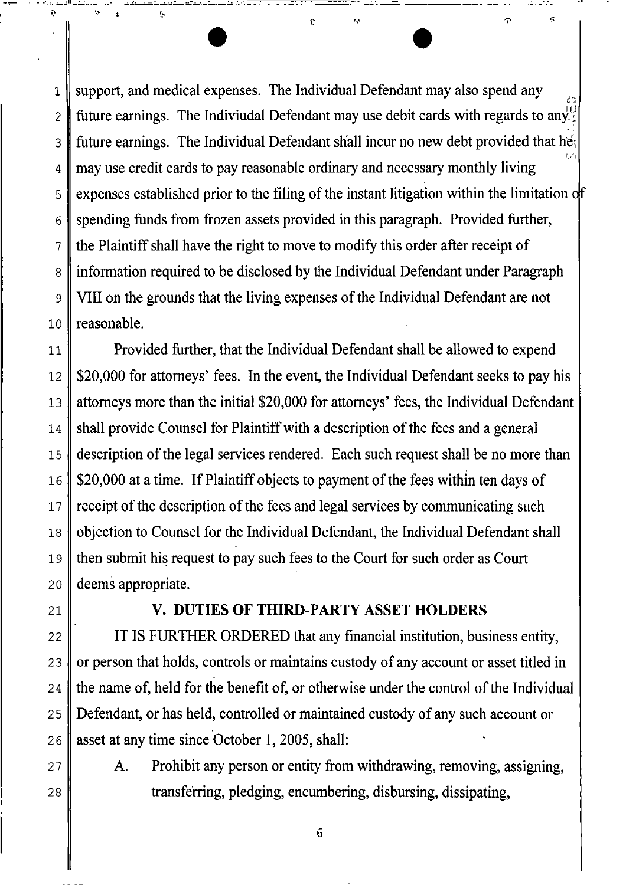1 2 3 4 5 6 7 8 9 10 support, and medical expenses. The Individual Defendant may also spend any future earnings. The Indiviudal Defendant may use debit cards with regards to any.<sup>11</sup> future earnings. The Individual Defendant shall incur no new debt provided that he<sub>i</sub> 1,:1 may use credit cards to pay reasonable ordinary and necessary monthly living expenses established prior to the filing of the instant litigation within the limitation of spending funds from frozen assets provided in this paragraph. Provided further, the Plaintiff shall have the right to move to modify this order after receipt of information required to be disclosed by the Individual Defendant under Paragraph VIII on the grounds that the living expenses of the Individual Defendant are not reasonable.

• • \_\_ ,.~Il-' - \_ ~~'='-==="-'

11 12 13 14 15 16 17 18 19 20 Provided further, that the Individual Defendant shall be allowed to expend \$20,000 for attorneys' fees. In the event, the Individual Defendant seeks to pay his attorneys more than the initial \$20,000 for attorneys' fees, the Individual Defendant shall provide Counsel for Plaintiff with a description of the fees and a general description of the legal services rendered. Each such request shall be no more than \$20,000 at a time. If Plaintiff objects to payment of the fees within ten days of receipt of the description of the fees and legal services by communicating such objection to Counsel for the Individual Defendant, the Individual Defendant shall then submit his request to pay such fees to the Court for such order as Court deems appropriate.

### 21

22

23

24

25

26

## V. **DUTIES OF THIRD-PARTY ASSET HOLDERS**

IT IS FURTHER ORDERED that any financial institution, business entity, or person that holds, controls or maintains custody of any account or asset titled in the name of, held for the benefit of, or otherwise under the control of the Individual Defendant, or has held, controlled or maintained custody of any such account or asset at any time since October 1, 2005, shall:

27 28 A. Prohibit any person or entity from withdrawing, removing, assigning, transferring, pledging, encumbering, disbursing, dissipating,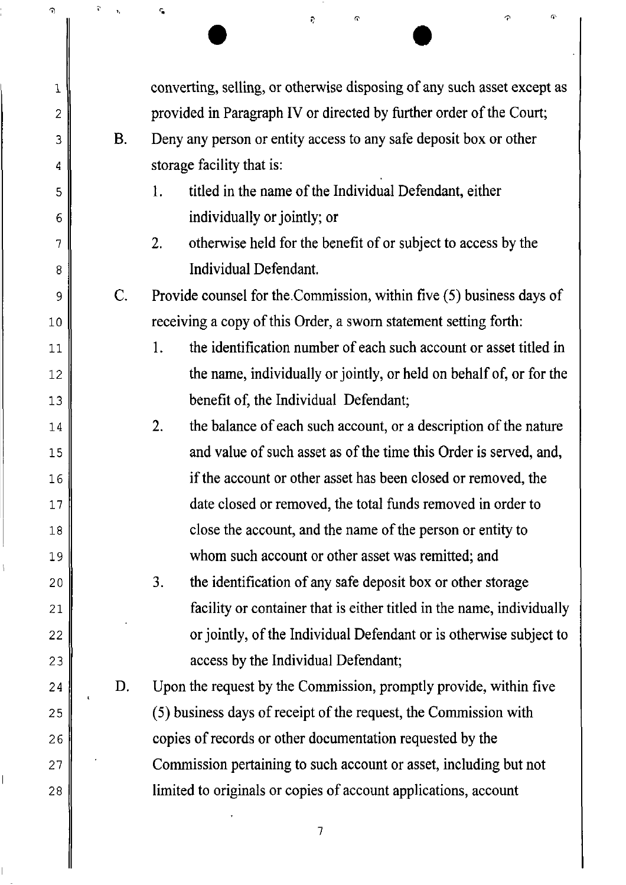| T)             | $\overline{\mathbf{v}}$<br>$\mathbf{v}_i$ | c,<br>G.<br>Q<br>Đ.                                                     |
|----------------|-------------------------------------------|-------------------------------------------------------------------------|
|                |                                           |                                                                         |
| 1              |                                           | converting, selling, or otherwise disposing of any such asset except as |
| $\overline{2}$ |                                           | provided in Paragraph IV or directed by further order of the Court;     |
| 3              | <b>B.</b>                                 | Deny any person or entity access to any safe deposit box or other       |
| 4              |                                           | storage facility that is:                                               |
| 5              |                                           | titled in the name of the Individual Defendant, either<br>1.            |
| 6              |                                           | individually or jointly; or                                             |
| 7              |                                           | otherwise held for the benefit of or subject to access by the<br>2.     |
| 8              |                                           | Individual Defendant.                                                   |
| 9              | C.                                        | Provide counsel for the Commission, within five (5) business days of    |
| 10             |                                           | receiving a copy of this Order, a sworn statement setting forth:        |
| 11             |                                           | the identification number of each such account or asset titled in<br>1. |
| 12             |                                           | the name, individually or jointly, or held on behalf of, or for the     |
| 13             |                                           | benefit of, the Individual Defendant;                                   |
| 14             |                                           | the balance of each such account, or a description of the nature<br>2.  |
| 15             |                                           | and value of such asset as of the time this Order is served, and,       |
| 16             |                                           | if the account or other asset has been closed or removed, the           |
| 17             |                                           | date closed or removed, the total funds removed in order to             |
| 18             |                                           | close the account, and the name of the person or entity to              |
| 19             |                                           | whom such account or other asset was remitted; and                      |
| 20             |                                           | 3.<br>the identification of any safe deposit box or other storage       |
| 21             |                                           | facility or container that is either titled in the name, individually   |
| 22             |                                           | or jointly, of the Individual Defendant or is otherwise subject to      |
| 23             |                                           | access by the Individual Defendant;                                     |
| 24             | D.                                        | Upon the request by the Commission, promptly provide, within five       |
| 25             |                                           | (5) business days of receipt of the request, the Commission with        |
| 26             |                                           | copies of records or other documentation requested by the               |
| 27             |                                           | Commission pertaining to such account or asset, including but not       |
| 28             |                                           | limited to originals or copies of account applications, account         |
|                |                                           |                                                                         |

 $\tilde{\boldsymbol{v}}$ 

 $\hat{\mathbf{v}}_i$ 

ç,

 $\hat{\mathbf{r}}$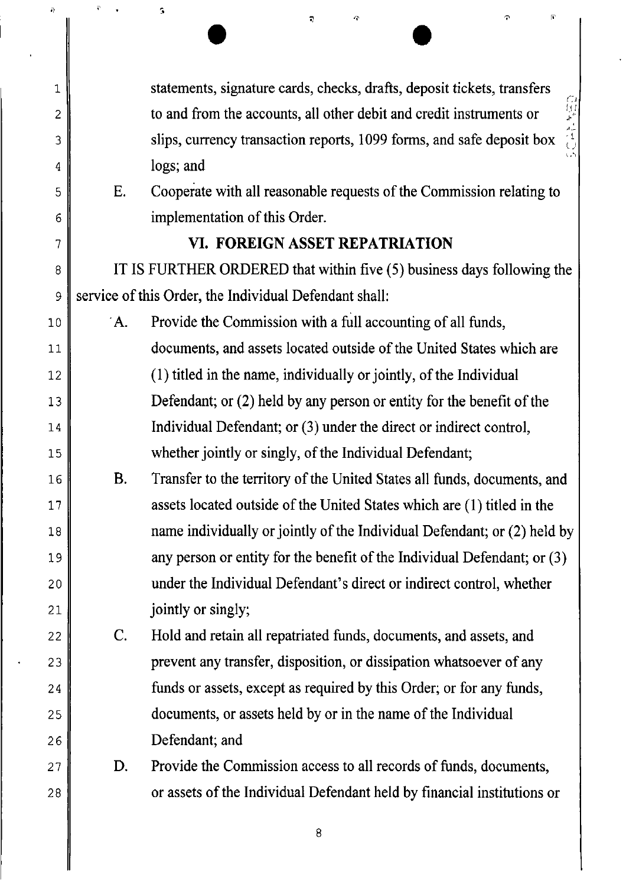| $\tilde{\boldsymbol{\theta}}$ | $\vec{r}$ | G.<br>$\mathbf{r}$                                                               |
|-------------------------------|-----------|----------------------------------------------------------------------------------|
|                               |           |                                                                                  |
| 1                             |           | statements, signature cards, checks, drafts, deposit tickets, transfers          |
| 2                             |           | to and from the accounts, all other debit and credit instruments or              |
| 3                             |           | 口付き オオロ<br>slips, currency transaction reports, 1099 forms, and safe deposit box |
| 4                             |           | ς,<br>logs; and                                                                  |
| 5                             | Ε.        | Cooperate with all reasonable requests of the Commission relating to             |
| 6                             |           | implementation of this Order.                                                    |
| 7                             |           | VI. FOREIGN ASSET REPATRIATION                                                   |
| 8                             |           | IT IS FURTHER ORDERED that within five (5) business days following the           |
| 9                             |           | service of this Order, the Individual Defendant shall:                           |
| 10                            | $A$ .     | Provide the Commission with a full accounting of all funds,                      |
| 11                            |           | documents, and assets located outside of the United States which are             |
| 12                            |           | (1) titled in the name, individually or jointly, of the Individual               |
| 13                            |           | Defendant; or $(2)$ held by any person or entity for the benefit of the          |
| 14                            |           | Individual Defendant; or (3) under the direct or indirect control,               |
| 15                            |           | whether jointly or singly, of the Individual Defendant;                          |
| 16                            | Β.        | Transfer to the territory of the United States all funds, documents, and         |
| 17                            |           | assets located outside of the United States which are (1) titled in the          |
| 18                            |           | name individually or jointly of the Individual Defendant; or (2) held by         |
| 19                            |           | any person or entity for the benefit of the Individual Defendant; or (3)         |
| 20                            |           | under the Individual Defendant's direct or indirect control, whether             |
| 21                            |           | jointly or singly;                                                               |
| 22                            | C.        | Hold and retain all repatriated funds, documents, and assets, and                |
| 23                            |           | prevent any transfer, disposition, or dissipation whatsoever of any              |
| 24                            |           | funds or assets, except as required by this Order; or for any funds,             |
| 25                            |           | documents, or assets held by or in the name of the Individual                    |
| 26                            |           | Defendant; and                                                                   |
| 27                            | D.        | Provide the Commission access to all records of funds, documents,                |
| 28                            |           | or assets of the Individual Defendant held by financial institutions or          |

i)

ľ

 $\hat{\mathbf{v}} = \hat{\mathbf{v}}$ 

 $\hat{\bullet}$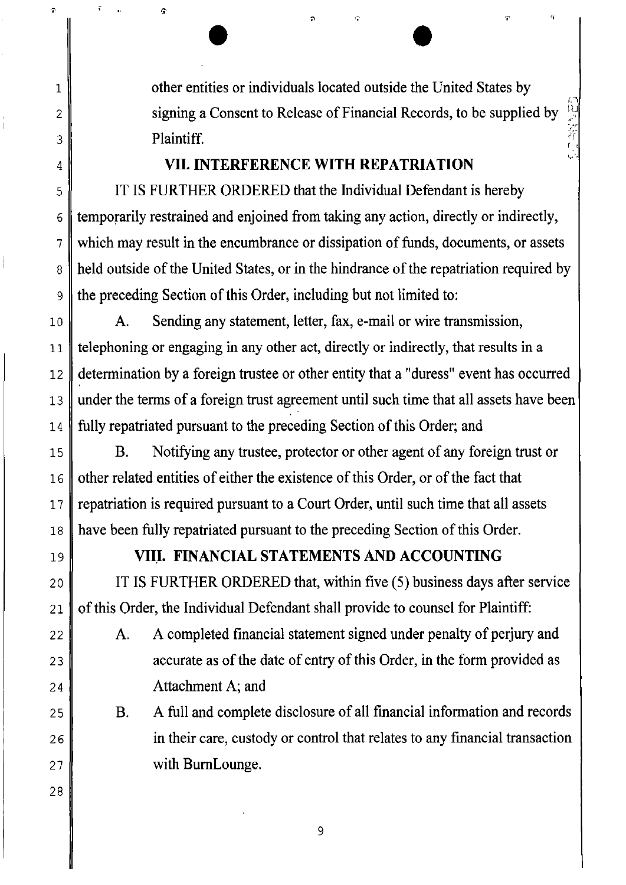other entities or individuals located outside the United States by signing a Consent to Release of Financial Records, to be supplied by **Plaintiff.** The contract of the contract of the contract of the contract of the contract of the contract of the contract of the contract of the contract of the contract of the contract of the contract of the contract of t

 $\Box$ 

*;;T*,  $\mathbf{r}^{\prime}$ 

## **VII. INTERFERENCE WITH REPATRIATION**

 $\bullet$ 

IT IS FURTHER ORDERED that the Individual Defendant is hereby temporarily restrained and enjoined from taking any action, directly or indirectly, which may result in the encumbrance or dissipation of funds, documents, or assets held outside of the United States, or in the hindrance of the repatriation required by the preceding Section of this Order, including but not limited to:

10 11 12 13 14 A. Sending any statement, letter, fax, e-mail or wire transmission, telephoning or engaging in any other act, directly or indirectly, that results in a determination by a foreign trustee or other entity that a "duress" event has occurred under the terms of a foreign trust agreement until such time that all assets have been fully repatriated pursuant to the preceding Section of this Order; and

15 18 B. Notifying any trustee, protector or other agent of any foreign trust or other related entities of either the existence of this Order, or of the fact that repatriation is required pursuant to a Court Order, until such time that all assets have been fully repatriated pursuant to the preceding Section of this Order.

19

20

21

22

23

24

25

26

27

28

16

17

1

 $\hat{r}$ 

ç

2

3

4

5

6

7

8

9

# **VIII. FINANCIAL STATEMENTS AND ACCOUNTING**

IT IS FURTHER ORDERED that, within five (5) business days after service of this Order, the Individual Defendant shall provide to counsel for Plaintiff:

A. A completed financial statement signed under penalty of perjury and accurate as of the date of entry of this Order, in the form provided as Attachment A; and

B. A full and complete disclosure of all financial information and records in their care, custody or control that relates to any financial transaction with BumLounge.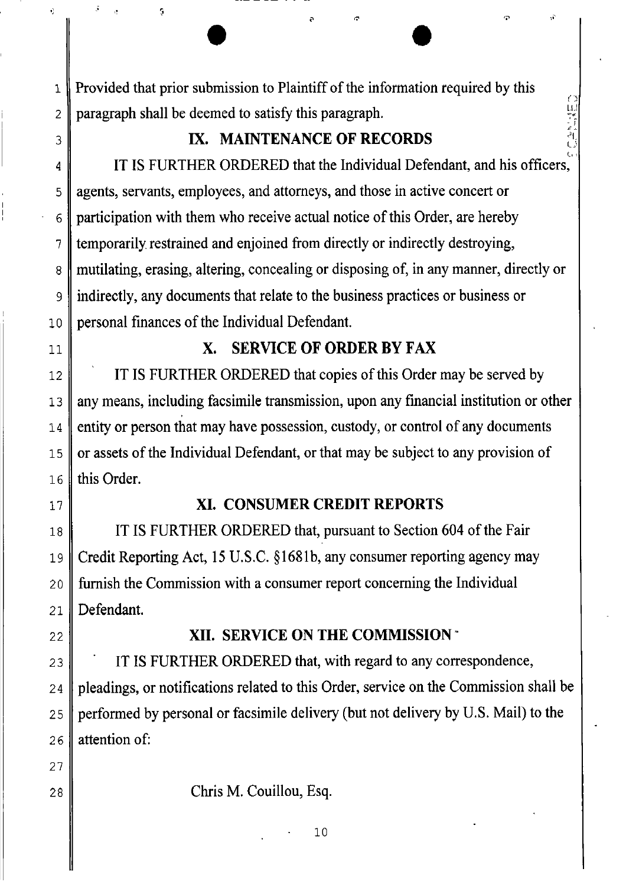• • L Provided that prior submission to Plaintiff of the information required by this paragraph shall be deemed to satisfy this paragraph.

# **IX. MAINTENANCE OF RECORDS**

- .; "

IT IS FURTHER ORDERED that the Individual Defendant, and his officers,  $\mathbb{C}(\cdot)$ agents, servants, employees, and attorneys, and those in active concert or participation with them who receive actual notice of this Order, are hereby temporarily restrained and enjoined from directly or indirectly destroying, mutilating, erasing, altering, concealing or disposing of, in any manner, directly or indirectly, any documents that relate to the business practices or business or personal finances of the Individual Defendant.

# **X. SERVICE OF ORDER BY FAX**

IT IS FURTHER ORDERED that copies of this Order may be served by anymeans, including facsimile transmission, upon anyfinancial institution or other entity or person that may have possession, custody, or control of any documents or assets of the Individual Defendant, or that may be subject to anyprovision of this Order.

### **XI. CONSUMER CREDIT REPORTS**

IT IS FURTHER ORDERED that, pursuant to Section 604 of the Fair Credit Reporting Act, 15 U.S.C. §168Ib, any consumer reporting agency may furnish the Commission with a consumer report concerning the Individual Defendant.

22

23

24

25

26

.J

9

1

2

3

4

5

6

7

8

9

10

11

12

13

14

15

16

17

18

19

20

21

### **XII. SERVICE ON THE COMMISSION'**

IT IS FURTHER ORDERED that, with regard to any correspondence, pleadings, or notifications related to this Order, service on the Commission shall be performed by personal or facsimile delivery (butnot delivery by U.S. Mail) to the attention of:

27 28

Chris M. Couillou, Esq.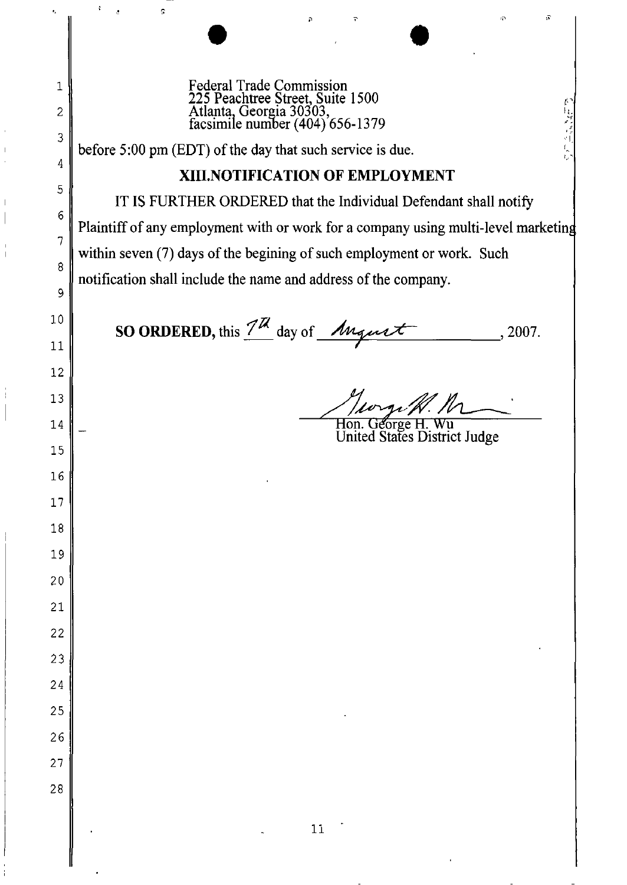$\bullet$ Federal Trade Commission 225 Peachtree Street, Suite 1500 Atlanta, Georgia 30303,<br>facsimile number (404) 656-1379

before 5:00 pm (EDT) of the day that such service is due.

¢

### **XIII.NOTIFICATION OF EMPLOYMENT**

IT IS FURTHER ORDERED that the Individual Defendant shall notify Plaintiff of any employment with or work for a company using multi-level marketing within seven (7) days of the begining of such employment or work. Such notification shall include the name and address of the company.

**SO ORDERED,** this  $\frac{7}{\mu}$  day of  $\mu$   $\mu$   $\mu$   $\tau$ , 2007.

Hon. George H.

 $\vec{r}$ 

United States District Judge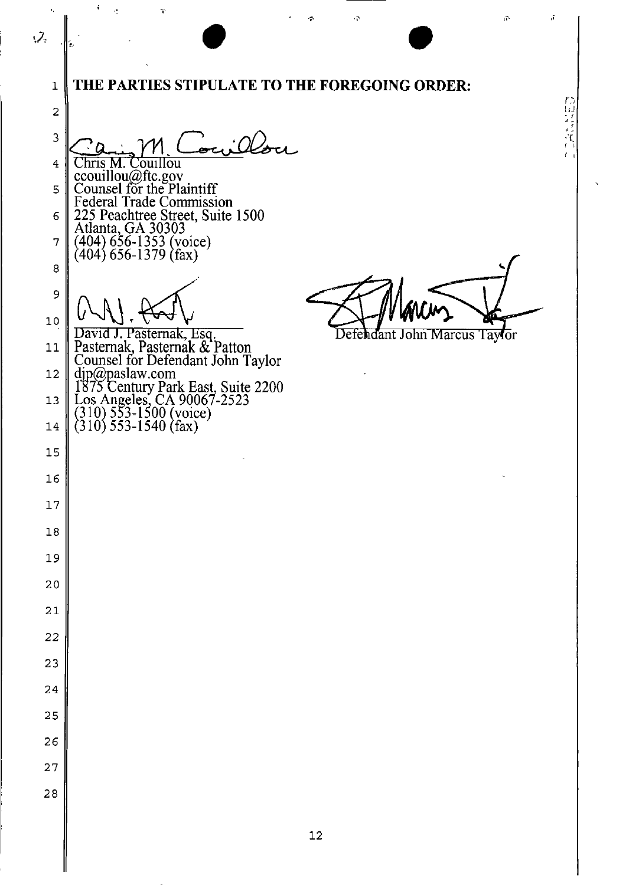$\bullet$  $\mathcal{Z}_3$ **THE PARTIES STIPULATE TO THE FOREGOING ORDER:**  1 2  $3^{\circ}$  Cain M. Couillou  $\frac{1}{2}$  $\frac{V}{V}$ Chris M. Couillou 4 ccouilIou@ftc.gov Counsel for the Plaintiff 5 Federal Trade Commission 225 Peachtree Street, Suite 1500 6 Atlanta, GA 30303 7 (404) 656-1353 (voice) (404) 656-1379 (fax) 8 9 10  $\overline{\phantom{a}}$ DavId J. Pasternak, Esq. John Marcus Taylor Defendant Pasternak Pasternak & Patton 11 Counsel for Defendant John Taylor<br>djp@paslaw.com<br>1875 Century Park East, Suite 2200 12 13  $\text{Log Angeles, CA}$  90067-2523  $\overline{\phantom{a}}$ (310) 553-1500 (voice)<br>(310) 553-1540 (fax) 14  $\overline{\phantom{a}}$ 15 ╎ 16 I 17 I 18  $\overline{\phantom{a}}$ 19 I 20  $\overline{\phantom{a}}$ 21  $\overline{\phantom{a}}$ 22 23 24  $\overline{\phantom{a}}$ 25  $\overline{\phantom{a}}$ 26 I 27  $\overline{\phantom{a}}$ 28  $\overline{\phantom{a}}$ 12

 $\mathbf{r} = \mathbf{r}$  , where  $\mathbf{r} = \mathbf{r}$  , we can assume that  $\mathbf{r} = \mathbf{r}$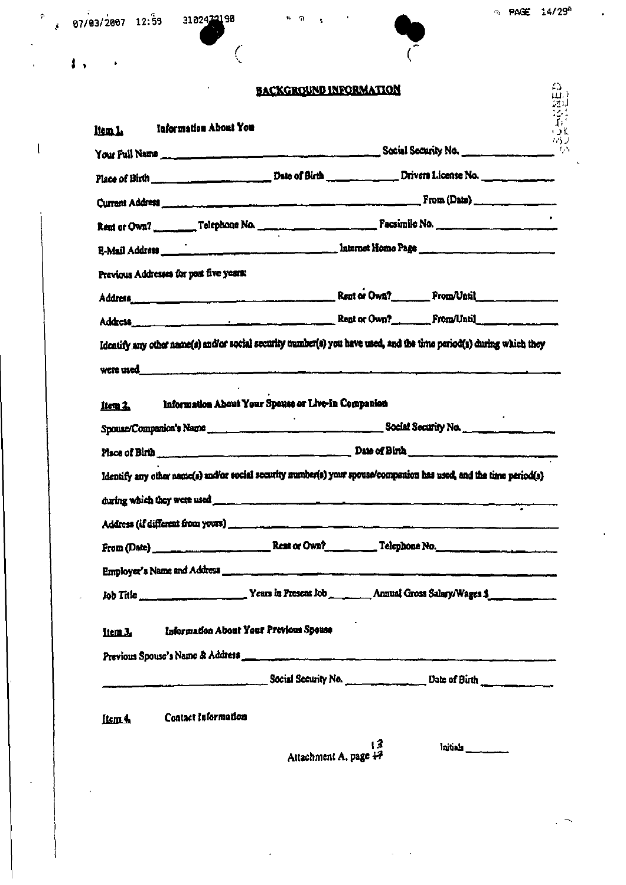|         |                                                                                                                                                                                                           | <b>BACKGROUND INFORMATION</b>       |          | 45           |
|---------|-----------------------------------------------------------------------------------------------------------------------------------------------------------------------------------------------------------|-------------------------------------|----------|--------------|
|         |                                                                                                                                                                                                           |                                     |          | י שו<br>גובל |
| ltem L  | <b>Information About You</b>                                                                                                                                                                              |                                     |          | 瑢<br>・よん     |
|         |                                                                                                                                                                                                           |                                     |          |              |
|         |                                                                                                                                                                                                           |                                     |          |              |
|         |                                                                                                                                                                                                           |                                     |          |              |
|         |                                                                                                                                                                                                           |                                     |          |              |
|         |                                                                                                                                                                                                           |                                     |          |              |
|         | Previous Addresses for past five years:                                                                                                                                                                   |                                     |          |              |
|         |                                                                                                                                                                                                           |                                     |          |              |
|         | Address entertainment of the contract of the Real or Own? From Until                                                                                                                                      |                                     |          |              |
|         | Identify any other name(s) and/or social security number(s) you have used, and the time period(s) during which they                                                                                       |                                     |          |              |
|         |                                                                                                                                                                                                           |                                     |          |              |
|         | Information About Your Spouse or Live-In Companion                                                                                                                                                        |                                     |          |              |
| Item 2. |                                                                                                                                                                                                           |                                     |          |              |
|         |                                                                                                                                                                                                           |                                     |          |              |
|         | Place of Birth Commission of Birth Commission and Date of Birth Commission of Birth<br>Identify any other name(s) und/or social security number(s) your spouse/companion has used, and the time period(s) |                                     |          |              |
|         |                                                                                                                                                                                                           |                                     |          |              |
|         |                                                                                                                                                                                                           |                                     |          |              |
|         |                                                                                                                                                                                                           |                                     |          |              |
|         |                                                                                                                                                                                                           |                                     |          |              |
|         |                                                                                                                                                                                                           |                                     |          |              |
|         |                                                                                                                                                                                                           |                                     |          |              |
|         |                                                                                                                                                                                                           |                                     |          |              |
| Item 3. | Information About Your Previous Spease                                                                                                                                                                    |                                     |          |              |
|         |                                                                                                                                                                                                           |                                     |          |              |
|         | Social Security No. Date of Birth Continuing Social Security No.                                                                                                                                          |                                     |          |              |
|         |                                                                                                                                                                                                           |                                     |          |              |
| Item 4  | Contact Information                                                                                                                                                                                       |                                     |          |              |
|         |                                                                                                                                                                                                           | $\sqrt{3}$<br>Attachment A. page 17 | Initials |              |
|         |                                                                                                                                                                                                           |                                     |          |              |

 $\label{eq:2.1} \frac{1}{\sqrt{2\pi}}\left(\frac{1}{\sqrt{2\pi}}\right)^{2} \left(\frac{1}{\sqrt{2\pi}}\right)^{2} \left(\frac{1}{\sqrt{2\pi}}\right)^{2} \left(\frac{1}{\sqrt{2\pi}}\right)^{2} \left(\frac{1}{\sqrt{2\pi}}\right)^{2} \left(\frac{1}{\sqrt{2\pi}}\right)^{2} \left(\frac{1}{\sqrt{2\pi}}\right)^{2} \left(\frac{1}{\sqrt{2\pi}}\right)^{2} \left(\frac{1}{\sqrt{2\pi}}\right)^{2} \left(\frac{1}{\sqrt{2\pi}}\right)^{2$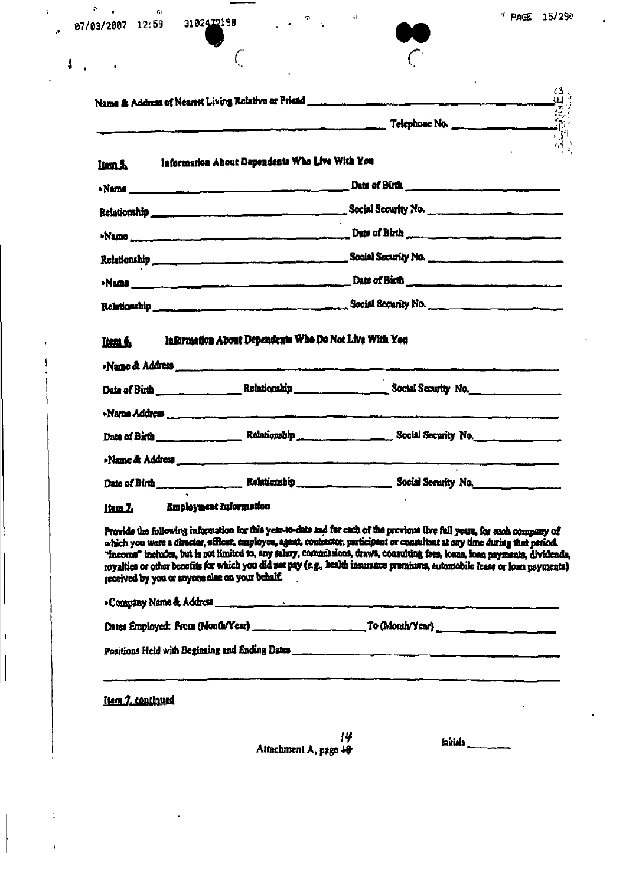$87/83/2007$  12:59 3102472198 .  $9/83/2007$  12:59 3102472198

 $\tau^{(n)}$ 

 $\ddot{\phantom{0}}$ 

 $\zeta$ 



 $\langle \rangle$  . <br> <br> O  $\langle \rangle$ 

 $\epsilon$ 

|                   |                                                 | Telephone No.                                                                                                                                                                                                                                                                                                                                                                                                                                                                                                                                   |
|-------------------|-------------------------------------------------|-------------------------------------------------------------------------------------------------------------------------------------------------------------------------------------------------------------------------------------------------------------------------------------------------------------------------------------------------------------------------------------------------------------------------------------------------------------------------------------------------------------------------------------------------|
| Item <b>S</b>     | Information About Dependents Who Live With You  |                                                                                                                                                                                                                                                                                                                                                                                                                                                                                                                                                 |
|                   |                                                 |                                                                                                                                                                                                                                                                                                                                                                                                                                                                                                                                                 |
|                   |                                                 |                                                                                                                                                                                                                                                                                                                                                                                                                                                                                                                                                 |
|                   |                                                 |                                                                                                                                                                                                                                                                                                                                                                                                                                                                                                                                                 |
|                   |                                                 | Relationship encouragement of the Social Security No.                                                                                                                                                                                                                                                                                                                                                                                                                                                                                           |
|                   |                                                 |                                                                                                                                                                                                                                                                                                                                                                                                                                                                                                                                                 |
|                   |                                                 |                                                                                                                                                                                                                                                                                                                                                                                                                                                                                                                                                 |
|                   |                                                 | . Name & Address<br>Date of Birth ____________________Relationship ___________________________Social Security No.                                                                                                                                                                                                                                                                                                                                                                                                                               |
|                   |                                                 |                                                                                                                                                                                                                                                                                                                                                                                                                                                                                                                                                 |
|                   |                                                 |                                                                                                                                                                                                                                                                                                                                                                                                                                                                                                                                                 |
|                   |                                                 |                                                                                                                                                                                                                                                                                                                                                                                                                                                                                                                                                 |
| Item 7.           | Employment Information                          |                                                                                                                                                                                                                                                                                                                                                                                                                                                                                                                                                 |
|                   | received by you or anyone class on your behalf. | Provide the following information for this year-to-date and for each of the previous five full years, for each company of<br>which you were a director, officer, employee, agent, contractor, participant or consultant at any time during that period.<br>"income" includes, but is not limited to, any salary, commissions, draws, consulting free, loans, kam payments, dividends,<br>royalties or other benefits for which you did not pay (e.g., health insurance premiums, automobile lease or loan nayments)<br>. Company Name & Address |
|                   |                                                 |                                                                                                                                                                                                                                                                                                                                                                                                                                                                                                                                                 |
|                   |                                                 |                                                                                                                                                                                                                                                                                                                                                                                                                                                                                                                                                 |
| Item 7. continued |                                                 |                                                                                                                                                                                                                                                                                                                                                                                                                                                                                                                                                 |
|                   |                                                 |                                                                                                                                                                                                                                                                                                                                                                                                                                                                                                                                                 |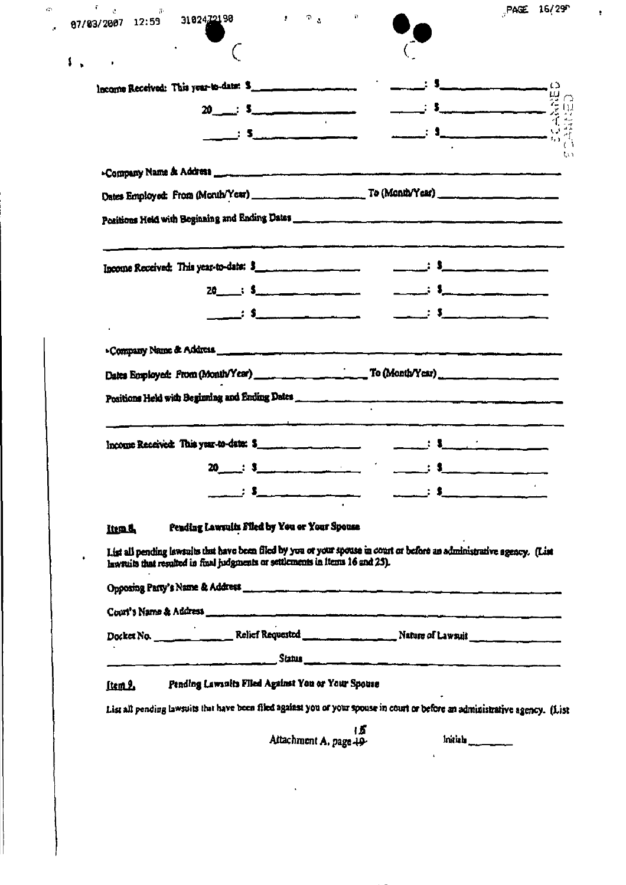| 87/83/2007 12:59 | $\mathbb{R}^n \times \mathbb{R}^n$<br>31 0 24 <u>721</u> 90                                                                   | PAGE 16/29<br>$\mathbf{p}$                                                                                                   |
|------------------|-------------------------------------------------------------------------------------------------------------------------------|------------------------------------------------------------------------------------------------------------------------------|
|                  |                                                                                                                               |                                                                                                                              |
|                  |                                                                                                                               |                                                                                                                              |
|                  | $20 \quad . \quad 5 \quad . \quad .$                                                                                          |                                                                                                                              |
|                  |                                                                                                                               | $\mathbf{S}$ .                                                                                                               |
|                  |                                                                                                                               |                                                                                                                              |
|                  |                                                                                                                               |                                                                                                                              |
|                  |                                                                                                                               |                                                                                                                              |
|                  |                                                                                                                               |                                                                                                                              |
|                  | Income Received: This year-to-date: \$                                                                                        | $\frac{1}{2}$ is a set of $\frac{1}{2}$                                                                                      |
|                  | $20 \qquad \qquad : \qquad$                                                                                                   |                                                                                                                              |
|                  |                                                                                                                               |                                                                                                                              |
|                  | Positions Held with Beginning and Ending Dates                                                                                |                                                                                                                              |
|                  | Income Received: This year-to-date: \$                                                                                        | $\frac{1}{2}$ , $\frac{1}{2}$ , $\frac{1}{2}$ , $\frac{1}{2}$                                                                |
|                  | $\sim 10^{11}$ m $^{-1}$<br>: \$<br>20                                                                                        | $\cdot$ s                                                                                                                    |
|                  | $\mathbf{3}$ , $\mathbf{5}$ , and $\mathbf{6}$ , $\mathbf{6}$ , $\mathbf{7}$ , $\mathbf{8}$ , $\mathbf{8}$ , $\mathbf{1}$     | $\cdot$ : $\cdot$ :                                                                                                          |
| <b>Ittm.d.</b>   | Pending Lawruits Filed by You or Your Spouse<br>lawsuits that resulted in final judgments or settlements in items 16 and 25). | List all pending lawsuits that have been filed by you or your spouse in court or before an administrative agency. (List      |
|                  |                                                                                                                               |                                                                                                                              |
|                  |                                                                                                                               |                                                                                                                              |
|                  |                                                                                                                               |                                                                                                                              |
|                  |                                                                                                                               | Docket No. _____________________Relief Requested _________________________Nature of Lawsuit                                  |
| ftem 2.          | Pending Lawsuits Filed Against You or Your Spouse                                                                             |                                                                                                                              |
|                  |                                                                                                                               | List all pending lawsuits that have been filed against you of your spouse in court or before an administrative agency. (List |

ŧ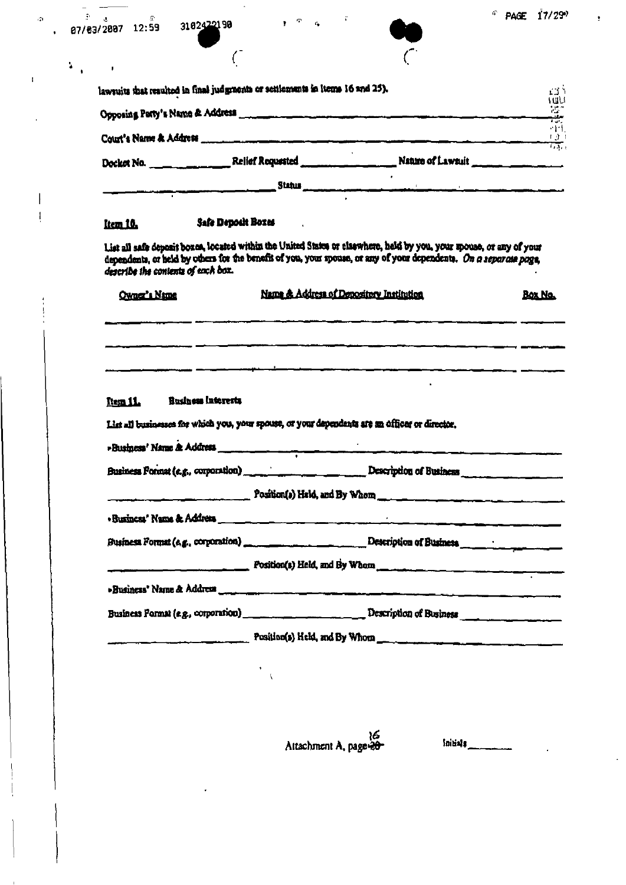$\ddot{\phantom{a}}$ 

| ಿ<br>07/03/2007 12:59 | 3102422190 |
|-----------------------|------------|
|                       |            |

 $\overline{\phantom{a}}$ 

 $\frac{1}{2}$ 

 $\hat{\phi}$ 

 $\bar{\mathbf{I}}$ 

 $\bigg\}$  $\mathbf{I}$  lawsuits that resulted in final judgments or settlements in Items 16 and 25).



 $\ddot{\phantom{0}}$ 

 $\sigma$ 

 $\epsilon$ 

 $\pmb{\mathfrak{p}}$ 

| lawruits that resulted in final judgments or settlements in items 16 and 25).                  |                                                                                                                                                                                                                                          | エゴリ            |
|------------------------------------------------------------------------------------------------|------------------------------------------------------------------------------------------------------------------------------------------------------------------------------------------------------------------------------------------|----------------|
|                                                                                                |                                                                                                                                                                                                                                          |                |
|                                                                                                | Court's Name & Address entertainment of the contract of the contract of the contract of the contract of the contract of the contract of the contract of the contract of the contract of the contract of the contract of the co           | 학학             |
|                                                                                                | Docket No. _______________Relief Requested ________________________Nature of Lawsuit _______________                                                                                                                                     |                |
|                                                                                                |                                                                                                                                                                                                                                          |                |
| Safe Deposit Boxes<br><u>Item 10.</u>                                                          |                                                                                                                                                                                                                                          |                |
| describe the contents of each box.                                                             | List all safe deposit boxes, located within the United States or elaswhere, held by you, your spouse, or any of your<br>dependents, or held by others for the benefit of you, your spouse, or any of your dependents. On a separate page |                |
| Owner's Name                                                                                   | Name & Address of Depository Institution                                                                                                                                                                                                 | <b>Box No.</b> |
|                                                                                                |                                                                                                                                                                                                                                          |                |
|                                                                                                |                                                                                                                                                                                                                                          |                |
| <b>Business Interests</b><br>Ttem 11.                                                          |                                                                                                                                                                                                                                          |                |
| List all businesses for which you, your spouse, or your dependents are an officer or director. |                                                                                                                                                                                                                                          |                |
|                                                                                                |                                                                                                                                                                                                                                          |                |
|                                                                                                | Business Format (e.g., corporation) _______________________________ Description of Business                                                                                                                                              |                |
|                                                                                                |                                                                                                                                                                                                                                          |                |
|                                                                                                | $Posifism(s)$ Held, and By Whom                                                                                                                                                                                                          |                |
|                                                                                                |                                                                                                                                                                                                                                          |                |
|                                                                                                |                                                                                                                                                                                                                                          |                |
|                                                                                                | $P$ osition(s) Held, and By Whom $\frac{1}{P}$                                                                                                                                                                                           |                |
|                                                                                                |                                                                                                                                                                                                                                          |                |
|                                                                                                | Business Format (e.g., corporation) ______________________________ Description of Business _________________________                                                                                                                     |                |
|                                                                                                | Position(s) Held, and By Whom                                                                                                                                                                                                            |                |
|                                                                                                |                                                                                                                                                                                                                                          |                |
|                                                                                                |                                                                                                                                                                                                                                          |                |
|                                                                                                |                                                                                                                                                                                                                                          |                |
|                                                                                                |                                                                                                                                                                                                                                          |                |

16<br>Attachment A, page 20

foitials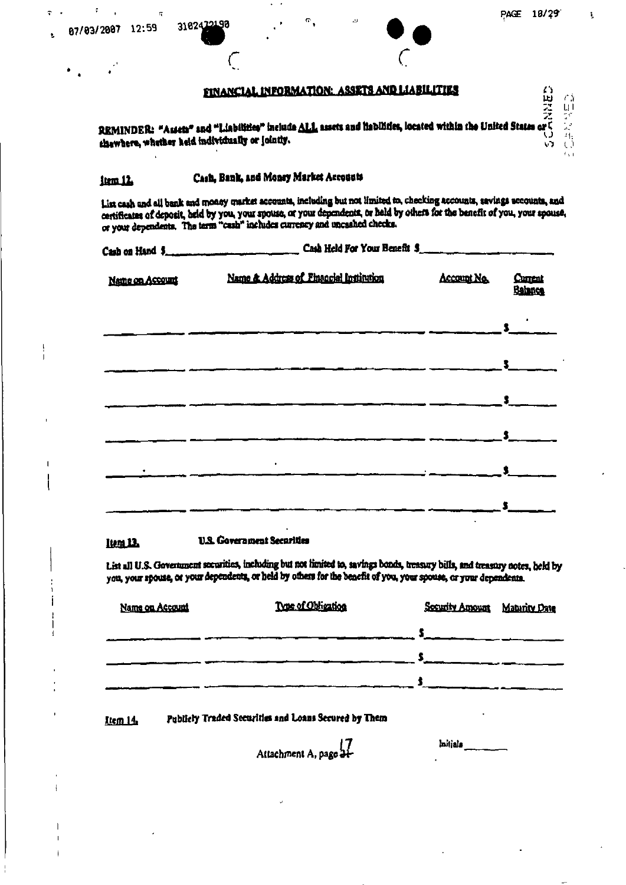$\begin{array}{c} \textbf{ENANCIAL INFORMATION: ASSETS AND LLABILLITIES} \\ \textbf{REMINDER: "Aster" and "Llabiltite" include ALL assets and thabiltite, located within the United States or \textit{C} \\ \textbf{chewberg, whether held individually or jointly.} \end{array}$ 

### Cash, Bank, and Money Market Accounts item 12.

List cash and all bank and money market accounts, including but not limited to, checking accounts, savings accounts, and certificates of deposit, held by you, your spouse, or your dependents, or held by others for the benefit of you, your spouse, or your dependents. The term "cash" includes currency and uncashed checks.

|                 | Cash on Hand \$                                                                                                                   |                    |                          |
|-----------------|-----------------------------------------------------------------------------------------------------------------------------------|--------------------|--------------------------|
| Name on Account | Name & Address of Financial Institution                                                                                           | <b>Account No.</b> | <b>Current</b><br>Bahnca |
|                 |                                                                                                                                   |                    |                          |
|                 |                                                                                                                                   |                    |                          |
|                 |                                                                                                                                   |                    | $\frac{3}{2}$            |
|                 | $\bullet$<br><u> 2000 - 2000 - 2000 - 2000 - 2000 - 2000 - 2000 - 2000 - 2000 - 2000 - 2000 - 2000 - 2000 - 2000 - 2000 - 200</u> |                    |                          |
|                 |                                                                                                                                   |                    |                          |
|                 |                                                                                                                                   |                    |                          |

#### **U.S. Government Securities** Item 12.

List all U.S. Government securities, including but not limited to, savings bonds, treasury bills, and treasury notes, held by you, your spouse, or your dependents, or held by others for the benefit of you, your spouse, or your dependents.

| Name on Account | Type of Obligation | Security Amount Maturity Date |  |
|-----------------|--------------------|-------------------------------|--|
|                 |                    |                               |  |
|                 |                    |                               |  |
|                 |                    |                               |  |

#### Publicly Traded Securities and Loans Secured by Them Item 14

7]<br>-Attachment A, page 21

lnitjals

 $\overline{a}$ 

÷

t

ਾ ਤੇ  $\frac{\prod\limits_{i=1}^{n}}{2}$ 

 $\mathbb{H}_2$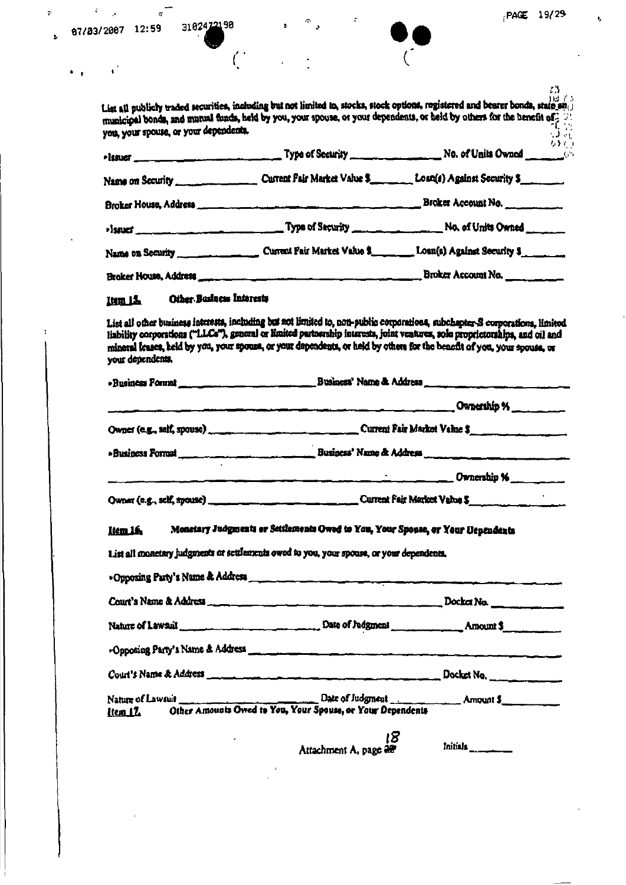r.

3102422198

 $\mathcal{L}_{\mathcal{A}}$ 

 $\overline{P}$ 

÷.



រង<br>រាង រូប List all publicly traded securities, including but not limited to, stocks, stock options, registered and bearer bonds, state and municipal bonds, and mutual funds, held by you, your spouse, or your dependents, or held by others for the benefit of you, your spouse, or your dependents.  $\sqrt{2}$   $\cdot$ なき »lasuer\_ Current Pair Market Value \$ \_\_\_\_\_\_ Loan(s) Against Security \$ Name on Security

| Broker House, Address |                              | Broker Account No.            |
|-----------------------|------------------------------|-------------------------------|
| <b>Fissuer</b>        |                              |                               |
| Name on Security      | Current Fair Market Value \$ | . Loan(s) Against Security \$ |

Broker Account No. Broker House, Address

#### Other Business Interests **Itm 15.**

List all other business interests, including but not limited to, non-public corporations, subchapter-S corporations, limited liability corporations ("LLCs"), general or limited partnership interests, joint ventures, sole proprietorships, and oil and mineral leases, held by you, your spouse, or your dependents, or held by others for the benefit of you, your spouse, or your dependents.

|                |  | $\sim$ Ownership % $\sim$                                                                |
|----------------|--|------------------------------------------------------------------------------------------|
|                |  |                                                                                          |
|                |  |                                                                                          |
|                |  | Dwnership %                                                                              |
|                |  |                                                                                          |
| <b>Item 16</b> |  | Monstary Judgments or Settlements Owed to You, Your Spouse, or Your Dependents           |
|                |  | List all monetary judgments or settlements owed to you, your spouse, or your dependents, |
|                |  |                                                                                          |

| . Opposing Party's Name & Address |  |  |
|-----------------------------------|--|--|
|                                   |  |  |
|                                   |  |  |
| -Opposing Party's Name & Address  |  |  |
|                                   |  |  |
| <u>Item 17.</u>                   |  |  |
|                                   |  |  |

Attachment A, page  $\frac{25}{100}$ 

Initials\_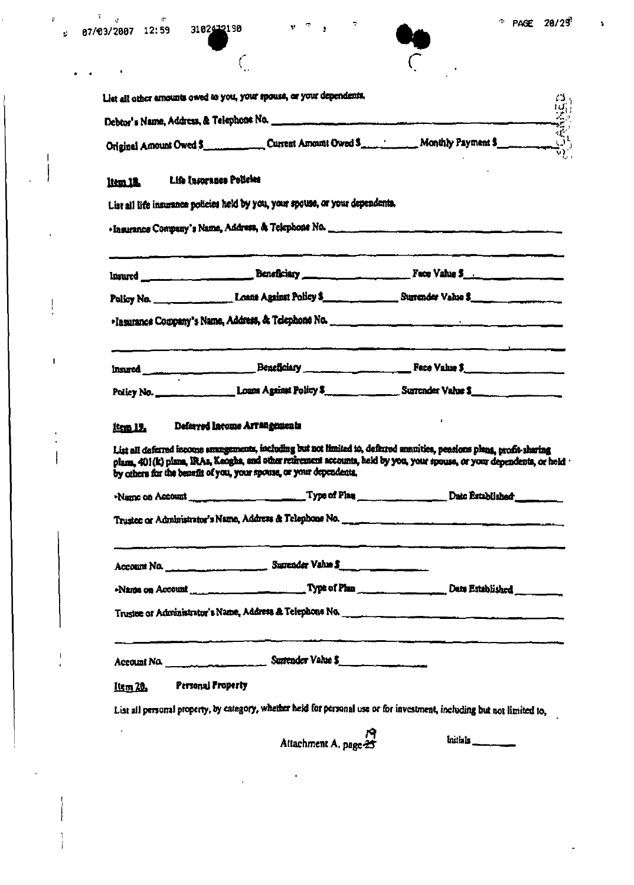$\mathfrak{p}(\cdot)$  .

 $\mathbf{I}$  $\bigg\}$ 

 $\big\}$ 

 $\mathbf{I}$ 

 $\zeta$ 

 $\mathcal{L}_{\mathbf{a}}$ 



 $\overline{\mathbf{r}}$ 

 $\mathfrak{t}^{\mathbb{C}\times\mathbb{C}\times\mathbb{C}}$ 

|                 | Original Amount Owed S <sub>core</sub> Current Amount Owed S <sub>core</sub> Learning Monthly Payment School and Core in the Core of the                                                                                                                                                                                                                                                                          |                                                                                                                      |
|-----------------|-------------------------------------------------------------------------------------------------------------------------------------------------------------------------------------------------------------------------------------------------------------------------------------------------------------------------------------------------------------------------------------------------------------------|----------------------------------------------------------------------------------------------------------------------|
| item 18.        | Life Insurance Policies                                                                                                                                                                                                                                                                                                                                                                                           |                                                                                                                      |
|                 | List all life insurance policies held by you, your spouse, or your dependents.                                                                                                                                                                                                                                                                                                                                    |                                                                                                                      |
|                 |                                                                                                                                                                                                                                                                                                                                                                                                                   |                                                                                                                      |
|                 |                                                                                                                                                                                                                                                                                                                                                                                                                   | <u>sa sa kabupatèn Samura di Piki, pang samura pada sipa mana kabupatèn Kabupatèn Samura Kabupatèn Samura Kabupa</u> |
|                 |                                                                                                                                                                                                                                                                                                                                                                                                                   |                                                                                                                      |
|                 |                                                                                                                                                                                                                                                                                                                                                                                                                   |                                                                                                                      |
|                 |                                                                                                                                                                                                                                                                                                                                                                                                                   |                                                                                                                      |
|                 |                                                                                                                                                                                                                                                                                                                                                                                                                   |                                                                                                                      |
|                 |                                                                                                                                                                                                                                                                                                                                                                                                                   |                                                                                                                      |
|                 | Policy No. ____________________Louns Against Policy \$<br>Deferred Income Arrangements<br>List all deferred income amangements, including but not limited to, deferred annuities, peasions plans, profit-sharing<br>olama. 401(k) plana, IRAs, Keogha, and other retirement accounts, held by you, your spouse, or your dependents, or held<br>by others for the benefit of you, your spouse, or your dependents, |                                                                                                                      |
|                 |                                                                                                                                                                                                                                                                                                                                                                                                                   |                                                                                                                      |
| item 19.        |                                                                                                                                                                                                                                                                                                                                                                                                                   |                                                                                                                      |
|                 | Account No. 1999 1999 Surender Value S.                                                                                                                                                                                                                                                                                                                                                                           |                                                                                                                      |
|                 |                                                                                                                                                                                                                                                                                                                                                                                                                   |                                                                                                                      |
|                 |                                                                                                                                                                                                                                                                                                                                                                                                                   |                                                                                                                      |
|                 | Account No. 1994 1994 Continued Surrender Value \$                                                                                                                                                                                                                                                                                                                                                                |                                                                                                                      |
| <u>Item 20.</u> | Personal Property                                                                                                                                                                                                                                                                                                                                                                                                 |                                                                                                                      |
|                 | List all personal property, by category, whether held for personal use or for investment, including but not limited to,                                                                                                                                                                                                                                                                                           |                                                                                                                      |
|                 | Attachment A, page 25                                                                                                                                                                                                                                                                                                                                                                                             | Instinks ________                                                                                                    |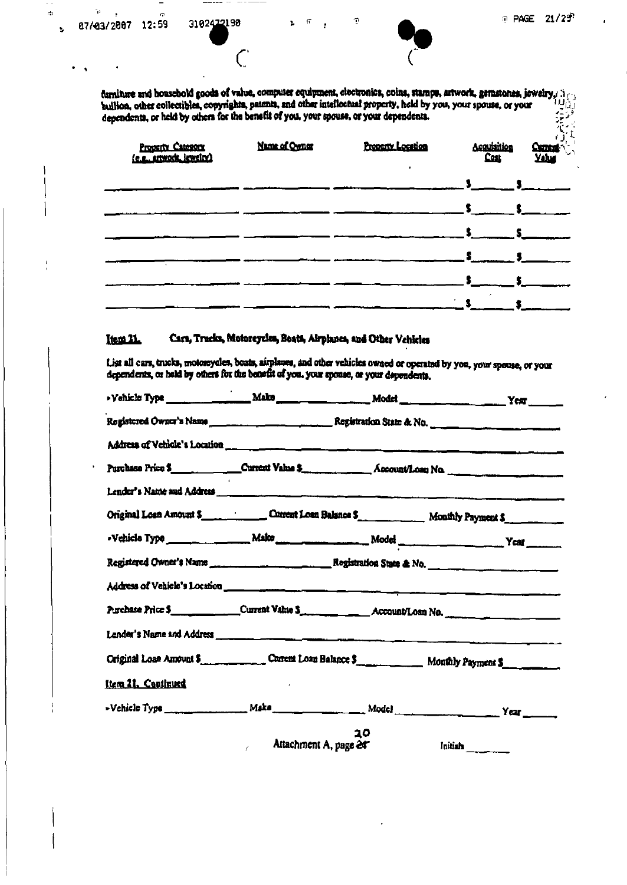ö

٦ì

ó,

 $\bar{\psi}$ 

 $\overline{C}$ 



furniture and household goods of value, computer equipment, electronics, coins, stamps, artwork, gemstones, jowelry,  $\Lambda_{\ell\gamma}$ buillon, other collectibles, copyrights, patents, and other intellectual property, held by you, your spouse, or your dependents, or held by others for the benefit of you, your spouse, or your dependents.

 $\sqrt{2}$ 

Ò

| Property Category | Name of Owner | Property Location | Acquisition |  | <b>Current</b><br>Yahu |
|-------------------|---------------|-------------------|-------------|--|------------------------|
|                   |               |                   |             |  |                        |
|                   |               |                   |             |  |                        |
|                   |               |                   |             |  |                        |
|                   |               |                   |             |  |                        |
|                   |               |                   |             |  |                        |
|                   |               |                   |             |  |                        |

#### Cars, Tracks, Motorcycles, Boats, Airplanes, and Other Vehicles Item 21.

List all cars, trucks, motorcycles, boats, airplanes, and other vehicles owned or operated by you, your spouse, or your dependents, or held by others for the benefit of you, your spouse, or your dependents,

|                    | >Vehicle Type ___________________ Make _____________________ Modef _________________________________Yest _______ |    |          |
|--------------------|------------------------------------------------------------------------------------------------------------------|----|----------|
|                    | Registered Owner's Name ______________________________Registration State & No. _____________________             |    |          |
|                    |                                                                                                                  |    |          |
|                    | Purchase Price \$ ____________Current Value \$ _______________ Account/Lose No. ______________________           |    |          |
|                    |                                                                                                                  |    |          |
|                    | Original Loan Amount \$                                                                                          |    |          |
|                    |                                                                                                                  |    |          |
|                    |                                                                                                                  |    |          |
|                    |                                                                                                                  |    |          |
|                    | Purchase Price \$______________Current Value \$_______________Account/Loan No.                                   |    |          |
|                    |                                                                                                                  |    |          |
|                    | Original Loan Amount 5. Current Loan Balance \$ Monthly Payment \$                                               |    |          |
| Item 21. Continued |                                                                                                                  |    |          |
|                    |                                                                                                                  |    |          |
|                    | Attachment A, page 24<br>$\mathbb{Z}^2$ and $\mathbb{Z}^2$                                                       | 20 | Initiala |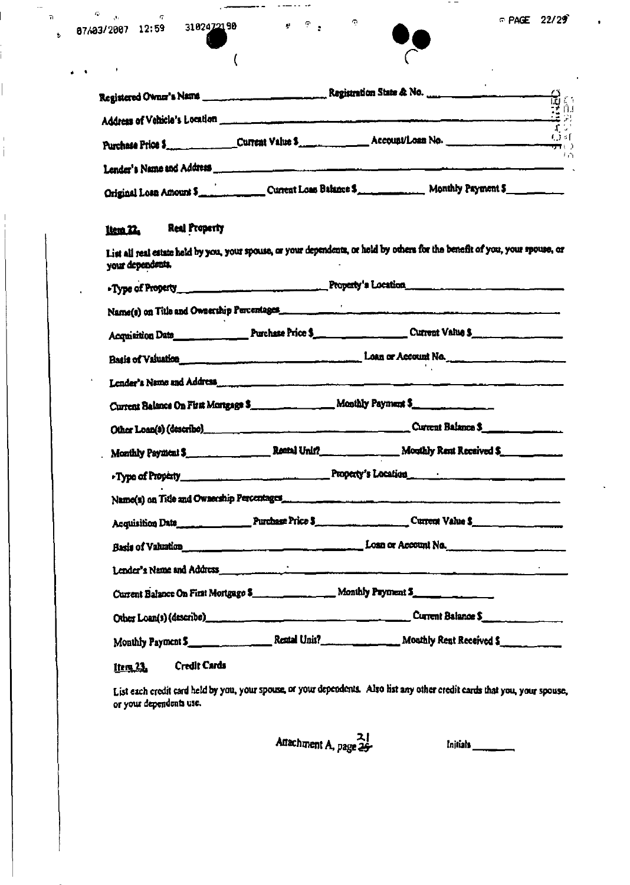| ____       |       |            |
|------------|-------|------------|
| 87/03/2007 | 12:59 | 3102472190 |

 $\hat{\mathbf{q}}$ 

 $\Phi=\frac{1}{\sqrt{2}}$  .

 $\mathbf{a}$ 

 $\overline{1}$ í

 $\bullet$ 



| Registered Owner's Name       |                                       | មិន<br>មូត        |
|-------------------------------|---------------------------------------|-------------------|
| Address of Vehicle's Location |                                       | $\Gamma$ $\omega$ |
|                               | Account/Loan No.<br>Purchase Price \$ | ो व<br>ਚਾ। )<br>门 |
| Lender's Name and Address     |                                       |                   |
| Original Loan Amount \$       | Current Loan Balance \$               | Monthly Payment 5 |

 $\tilde{\mathbf{Q}}$ 

 $\mathbf{P}=\mathbf{P}$ 

 $\overline{\mathcal{L}}$ 

#### **Real Property** ttem<sub>22</sub>

List all real estate hold by you, your spouse, or your dependents, or held by others for the benefit of you, your spouse, or your dependents.

|  | Basis of Valuation <u>Communication and the communication</u> Loan or Account No.                                                      |  |
|--|----------------------------------------------------------------------------------------------------------------------------------------|--|
|  |                                                                                                                                        |  |
|  | Current Balance On First Mortgage \$ _____________ Monthly Payment \$                                                                  |  |
|  |                                                                                                                                        |  |
|  |                                                                                                                                        |  |
|  |                                                                                                                                        |  |
|  |                                                                                                                                        |  |
|  | Acquisition Date Parameters Price 5                                                                                                    |  |
|  | Basis of Valuation <u>Communication and Communication</u> Losn or Account No.                                                          |  |
|  | Lender's Name and Address                                                                                                              |  |
|  | Current Balance On First Mortgage \$ ______________ Monthly Psyment \$ _______________                                                 |  |
|  | Other Loan(s) (describe) entry and the contract of the Current Balance S <sub>urrent</sub> and the Current Balance S <sub>urrent</sub> |  |
|  |                                                                                                                                        |  |
|  |                                                                                                                                        |  |

lters, 23, **Credit Cards** 

List each credit card held by you, your spouse, or your dependents. Also list any other credit cards that you, your spouse, or your dependents use.

Attachment A, page  $2\frac{2}{3}$ 

Initials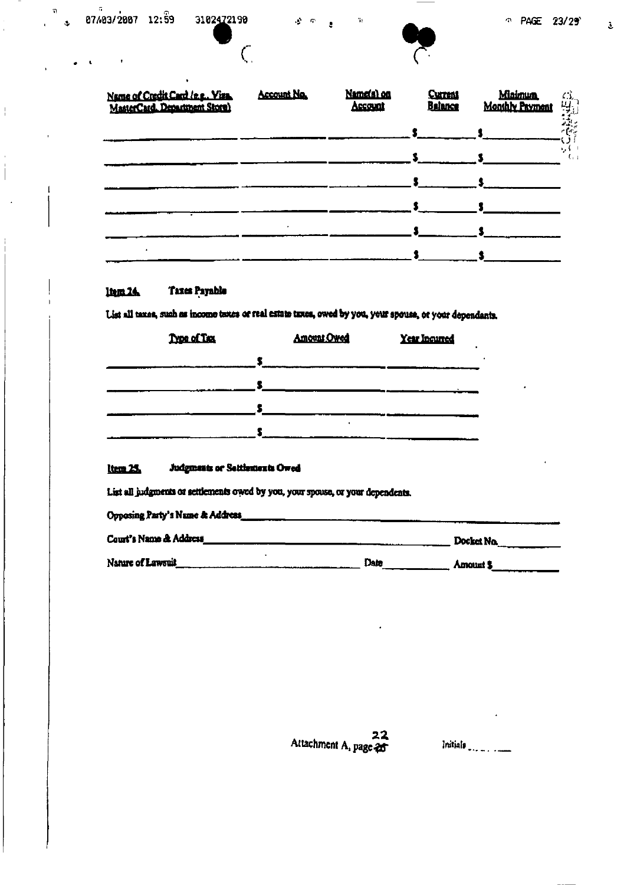$\frac{1}{2}$ 

 $\overline{C}$ 



 $\gamma_1$ 

 $\ddot{\mathbf{z}}$ 

| Name of Credit Card (e.g., Viza,<br>MasterCard. Department Store) | <b>Account No.</b> | Name(a) on<br>Account | <b>Current</b><br><b>Balance</b> | <b>Minimum</b><br><b>Monthly Payment</b> | $\frac{13}{2}$                                                                                   |
|-------------------------------------------------------------------|--------------------|-----------------------|----------------------------------|------------------------------------------|--------------------------------------------------------------------------------------------------|
|                                                                   |                    |                       |                                  |                                          | ׇׇׇ֪֚֞֓׆֧֧֧֧֧֧֧֧֧֪<br>֧֢֧֧֧֧֞֩֞֞֬֞֞֞֞֞֞֞֬֞֞֬֞֬֓֞֬֓֞֬֓֓֞֬֓֞֩֞֓֬֩֩֓֟֬֩֓֩֓֓֞֓֩֓׆֧֛֪֧֪֪֪֪֪֪֪֪֪֪֪֪֪֪֪ |
|                                                                   |                    |                       |                                  |                                          | ۰,۰<br>ι.                                                                                        |
|                                                                   |                    |                       |                                  |                                          |                                                                                                  |
|                                                                   |                    |                       |                                  |                                          |                                                                                                  |
|                                                                   |                    |                       |                                  |                                          |                                                                                                  |

 $\mathcal{L}^{\mathcal{L}}(\mathcal{P})=\mathfrak{g}$ 

#### **Taxes Payable**  $l$ tem  $24$

List all taxes, such as income taxes or real estate taxes, owed by you, your spouse, or your dependants,

| Type of Tax | <b>Amount Owed</b> | Year Incurred |
|-------------|--------------------|---------------|
|             |                    |               |
|             |                    |               |
|             |                    |               |
|             |                    |               |

#### Item 25. Judgments or Settlements Owed

List all judgments or settlements owed by you, your spouse, or your dependents.

| Opposing Party's Nume & Address |      |            |
|---------------------------------|------|------------|
| Court's Name & Address          |      | Docket No. |
| Nature of Lawsuit               | Date | Amount S   |

22 Attachment A, page 25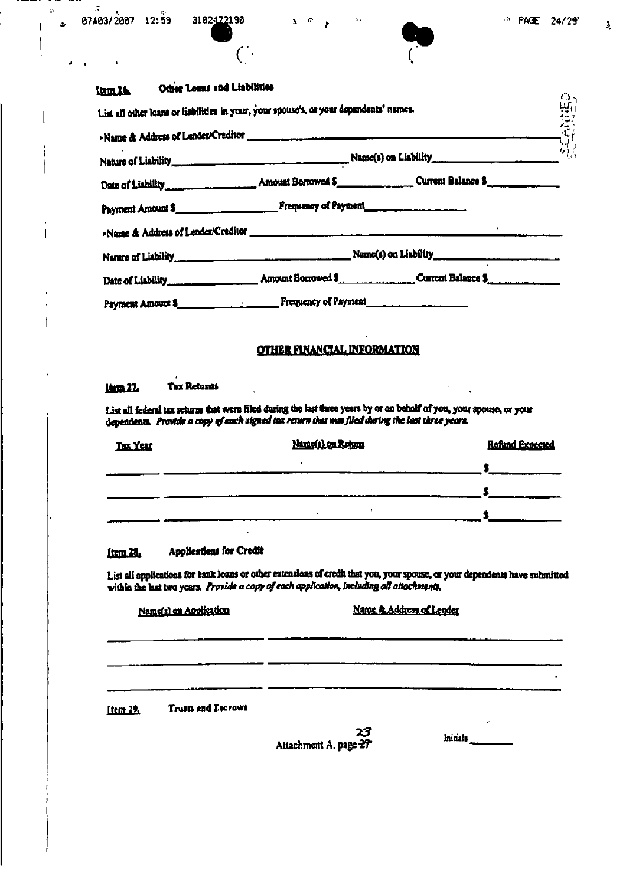Ġ

'n,

ى

 $\overline{(\cdot)}$ 

 $\frac{1}{2}$ 

| <b>Kum, 26.</b> | Other Loans and Liabilities |
|-----------------|-----------------------------|
|-----------------|-----------------------------|

| List all other loans or liabilities in your, your spouse's, or your dependents' names.<br>>Name & Address of Lender/Creditor |                                                         | ریں<br>بہت |
|------------------------------------------------------------------------------------------------------------------------------|---------------------------------------------------------|------------|
|                                                                                                                              |                                                         |            |
|                                                                                                                              |                                                         |            |
| Payment Amount \$ Figures Prequency of Payment                                                                               |                                                         |            |
|                                                                                                                              | >Name & Address of Lender/Creditor                      |            |
|                                                                                                                              | Name of Liability Manuscript Communication of Liability |            |
|                                                                                                                              |                                                         |            |
| Psyment Amount \$                                                                                                            |                                                         |            |

 $\mathbf{B} = \mathbf{B} \mathbf{A}$ 

 $\ddot{\phantom{a}}$ 

 $\mathbb{Q}_2$ 

### **OTHER FINANCIAL INFORMATION**

#### **Tax Returns 1tem 22.**

List all federal tax returns that were filed during the last three years by or on behalf of you, your spouse, or your dependents. Provide a copy of each signed tax return that was filed during the last three years.

| <b>Tax Year</b> | Name(s) on Rotum | <b>Refund Expected</b> |
|-----------------|------------------|------------------------|
|                 |                  |                        |
|                 |                  |                        |
|                 |                  |                        |

#### Applications for Credit Item<sub>24</sub>

List all applications for bank losns or other extensions of credit that you, your spouse, or your dependents have submitted within the last two years. Provide a copy of each application, including all attachments.

| Name(s) on Aoplication |  |
|------------------------|--|
|                        |  |

 $\mathbb{R}^2$  .

### Name & Address of Lender

<u>Item 29.</u> **Truits and Escrows** 

|                       | 23 |  |
|-----------------------|----|--|
| Aitachment A, page 27 |    |  |

Initials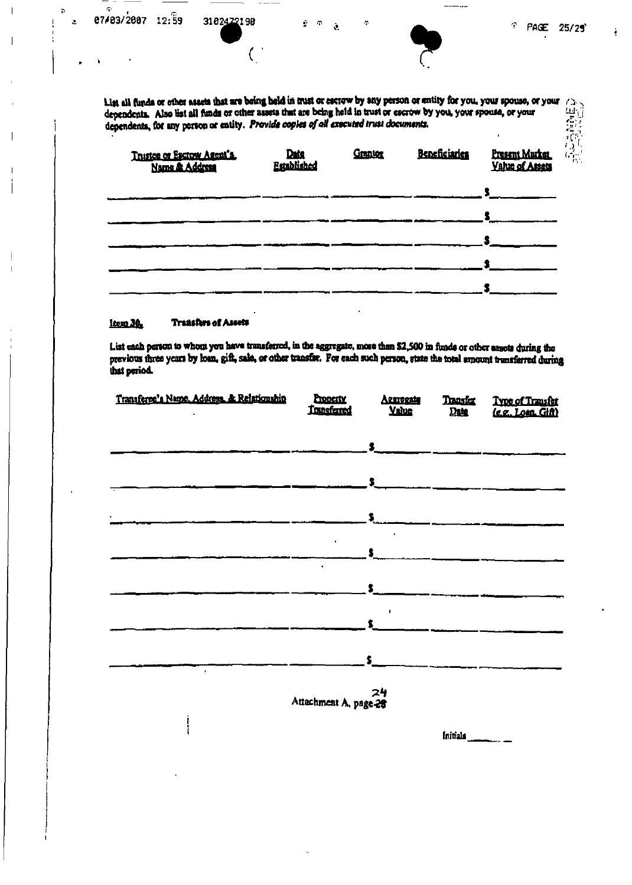$\tilde{\boldsymbol{\Theta}}$ 

b.

 $\overline{\mathbf{z}}$ 

 $\overline{(\ }$ 

 $\tilde{a}$ 

â



| Trustee or Escrow Agent's. | Data<br>Established | Granton | Beneficiaries | Present Market<br><b>Yahit of Assets</b> |
|----------------------------|---------------------|---------|---------------|------------------------------------------|
|                            |                     |         |               |                                          |
|                            |                     |         |               |                                          |
|                            |                     |         |               |                                          |
|                            |                     |         |               |                                          |

#### ltern 30. **Transfers of Assets**

ł

List each person to whom you have transferred, in the aggregate, more than \$2,500 in funds or other assets during the previous three years by loan, gift, sale, or other transfer. For each such person, state the total amount transferred during that period.

| Transferee's Name, Address. & Relationship | <b>Exposity</b><br><b>Transferred</b> | Aggregate<br><b>Yaluc</b> | Transfer<br>Date | Type of Transfer<br>(e.g. Loan Gift) |
|--------------------------------------------|---------------------------------------|---------------------------|------------------|--------------------------------------|
|                                            |                                       |                           |                  |                                      |
|                                            |                                       | $\sim$                    |                  |                                      |
|                                            |                                       | \$.                       |                  |                                      |
|                                            |                                       | $\Sigma$                  |                  |                                      |
|                                            | $\mathbf{u}$                          | $\mathbf{S}$              |                  |                                      |
|                                            |                                       |                           |                  |                                      |
|                                            |                                       | \$<br>$\blacksquare$      |                  |                                      |
|                                            |                                       | $\bullet$                 |                  |                                      |
|                                            |                                       | $\mathbf{s}$              |                  |                                      |
| $\star$                                    | Attachment A. page 28                 | 24                        |                  |                                      |

Initials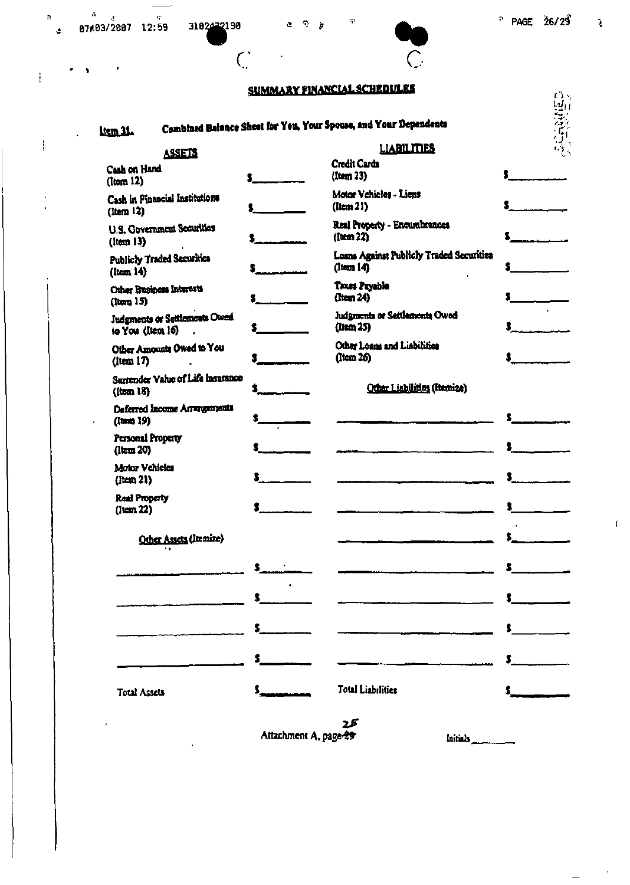|                                                          |                               | <b>SUMMARY FINANCIAL SCHEDULES</b>                                 |                               |
|----------------------------------------------------------|-------------------------------|--------------------------------------------------------------------|-------------------------------|
| <b>Lem 31.</b>                                           |                               | Combined Balance Sheat for You, Your Spouse, and Your Dependents   | 高麗                            |
| <b>ASSETS</b>                                            |                               | <b>LIABILITIES</b>                                                 |                               |
| Cash on Hand<br>(lcm 12)                                 |                               | <b>Credit Cards</b><br>(Item 23)                                   |                               |
| Cash in Financial Institutions<br>$($ ltem $12)$         |                               | Motor Vehicles - Liens<br>$($ Item $21)$                           |                               |
| <b>U.S. Government Securities</b><br>$($ Item 13 $)$     |                               | Real Property - Encumbrances<br>(10cm 22)                          |                               |
| <b>Publicly Traded Securities</b><br>$($ ltern 14 $)$    |                               | Loans Against Publicly Traded Securities<br>$($ Item $\vert 4$ $)$ |                               |
| Other Business Interests<br>(lcm 15)                     |                               | Taxes Payable<br>(Item 24)                                         |                               |
| <b>Judgments or Settlements Owed</b><br>to You (Item 16) |                               | Judgments or Settlements Owed<br>(Item 25)                         |                               |
| Other Amounts Owed to You<br>$($ ltem 17 $)$             |                               | Other Loans and Liabilities<br>(Item 26)                           |                               |
| Surrender Value of Life Insurance<br>(100018)            |                               | Other Liabilities (Itemize)                                        |                               |
| Deferred Income Arrangements<br>((tem) 19)               |                               |                                                                    |                               |
| Personal Property<br>$($ Item 20 $)$                     |                               |                                                                    |                               |
| Motor Vehicles<br>$($ Jiem $21)$                         |                               |                                                                    |                               |
| <b>Real Property</b><br>$($ Item $22)$                   | ŝ                             |                                                                    | \$                            |
| Other Assets (Itemize)                                   |                               |                                                                    |                               |
|                                                          | \$___                         |                                                                    |                               |
|                                                          | $\mathbf{s}$ and $\mathbf{s}$ |                                                                    | $\ddot{\bullet}$              |
|                                                          |                               |                                                                    | $\mathbf{s}$ and $\mathbf{s}$ |
|                                                          | $\sim$                        |                                                                    | $\sim$                        |
| <b>Total Assets</b>                                      | \$_                           | Total Liabilities                                                  |                               |

 $\frac{1}{2} \left( \frac{1}{2} \right)^2 + \frac{1}{2} \left( \frac{1}{2} \right)^2$ 

 $\frac{1}{\sqrt{2}}\left( \frac{1}{\sqrt{2}}\right) ^{2}$ 

 $\epsilon$ 

کے 2<br>Attachment A, page 29

Initials

PAGE  $26/29$   $\frac{1}{2}$ 

 $\bar{4}$ 

 $\sim$   $\epsilon$ 

 $\overline{\phantom{0}}$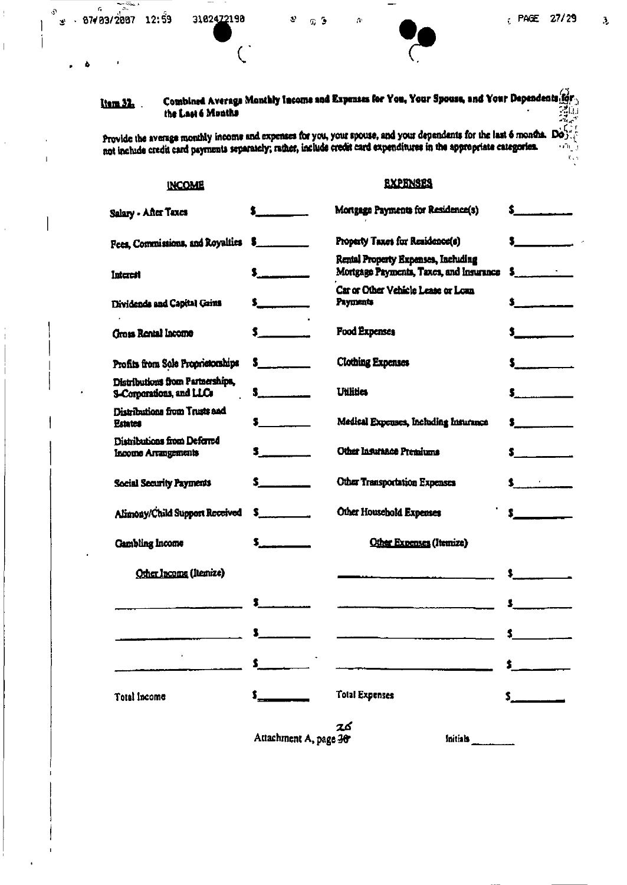$\frac{1}{2}$ 

 $\bar{\bar{1}}$ 

 $\hat{\boldsymbol{\theta}}$ 

 $\frac{1}{2}$ 

 $\mathfrak{I}$ 

 $\begin{array}{c} \hline \end{array}$  $\mathbf{I}$ 

> J.  $\mathbf{I}% _{0}\left( \mathbf{I}_{1}\right)$

> > $\vert$

 $\lambda$ 

 $-\cdot$ 

 $\mathbb{R}$ 

and the control

 $\overline{C}$ 

 $\bar{A}$ 

| <u>ltem 32.</u>        | the Last 6 Months                                            |                                                                                                                                                                                                                                                                                                                               | Combined Average Monthly Income and Expenses for You, Your Spouse, and Your Dependents for                                                                                                                                                                              | 環境                                             |
|------------------------|--------------------------------------------------------------|-------------------------------------------------------------------------------------------------------------------------------------------------------------------------------------------------------------------------------------------------------------------------------------------------------------------------------|-------------------------------------------------------------------------------------------------------------------------------------------------------------------------------------------------------------------------------------------------------------------------|------------------------------------------------|
|                        |                                                              |                                                                                                                                                                                                                                                                                                                               | Provide the average monthly income and expenses for you, your spouse, and your dependents for the last 6 months. $\mathbf{D}\hat{\mathbf{S}}$ .<br>not include credit card payments separately; rather, include credit card expenditures in the appropriate categories. | orn m<br>ľ.,                                   |
|                        | <b>INCOME</b>                                                |                                                                                                                                                                                                                                                                                                                               | <b>EXPENSES</b>                                                                                                                                                                                                                                                         |                                                |
| Salary - After Taxes   |                                                              |                                                                                                                                                                                                                                                                                                                               | Mortgage Payments for Residence(s)                                                                                                                                                                                                                                      | $\sim$                                         |
|                        | Fees. Commissions, and Royalties                             |                                                                                                                                                                                                                                                                                                                               | Property Taxes for Residence(s)                                                                                                                                                                                                                                         | $\blacksquare$                                 |
| Interest               |                                                              | $\ddagger$                                                                                                                                                                                                                                                                                                                    | Rental Property Expenses, Including<br>Mortgage Payments, Taxes, and Insurance                                                                                                                                                                                          | $\mathbf{s}$ . The set of $\mathbf{s}$         |
|                        | Dividends and Capital Gains                                  |                                                                                                                                                                                                                                                                                                                               | Car or Other Vehicle Lease or Loan<br>Payments                                                                                                                                                                                                                          | $\ddot{\bullet}$                               |
|                        | <b>Gross Rental Income</b>                                   | $\mathsf{s}_{\text{max}}$                                                                                                                                                                                                                                                                                                     | <b>Food Expenses</b>                                                                                                                                                                                                                                                    | $\sim$                                         |
|                        | Profits from Sole Proprietorships                            | $\sim$                                                                                                                                                                                                                                                                                                                        | <b>Clothing Expenses</b>                                                                                                                                                                                                                                                | $\mathsf{s}$ . The set of $\mathsf{s}$         |
|                        | Distributions from Partnerships,<br>S-Corporations, and LLCs | $\mathbf{s}$ . The same set of $\mathbf{s}$                                                                                                                                                                                                                                                                                   | <b>Utilities</b>                                                                                                                                                                                                                                                        | $\mathsf{s}$ . The set of $\mathsf{s}$         |
| <b>Estates</b>         | Distributions from Trusts and                                |                                                                                                                                                                                                                                                                                                                               | Medical Expenses, Including Insurance                                                                                                                                                                                                                                   | $\sim$                                         |
|                        | Distributions from Deferred<br>Income Arrangements           | <b>S</b> _______                                                                                                                                                                                                                                                                                                              | Other Insurance Premiums                                                                                                                                                                                                                                                | $\mathbf{s}$ , we have the set of $\mathbf{s}$ |
|                        | <b>Social Security Payments</b>                              | $\mathsf{s}\_\dots$ . The set of $\mathsf{s}\_\dots$                                                                                                                                                                                                                                                                          | Other Transportation Expenses                                                                                                                                                                                                                                           |                                                |
|                        | Alimony/Child Support Received                               | $\mathsf{s}$ and $\mathsf{s}$ and $\mathsf{s}$ and $\mathsf{s}$ and $\mathsf{s}$ and $\mathsf{s}$ and $\mathsf{s}$ and $\mathsf{s}$ and $\mathsf{s}$ and $\mathsf{s}$ and $\mathsf{s}$ and $\mathsf{s}$ and $\mathsf{s}$ and $\mathsf{s}$ and $\mathsf{s}$ and $\mathsf{s}$ and $\mathsf{s}$ and $\mathsf{s}$ and $\mathsf{s$ | Other Household Expenses                                                                                                                                                                                                                                                | $\sim$                                         |
| <b>Gambling Income</b> |                                                              |                                                                                                                                                                                                                                                                                                                               | Other Expenses (Itemize)                                                                                                                                                                                                                                                |                                                |
|                        | Other Income (Itemize)                                       |                                                                                                                                                                                                                                                                                                                               |                                                                                                                                                                                                                                                                         |                                                |
|                        |                                                              |                                                                                                                                                                                                                                                                                                                               |                                                                                                                                                                                                                                                                         |                                                |
|                        |                                                              |                                                                                                                                                                                                                                                                                                                               |                                                                                                                                                                                                                                                                         |                                                |
|                        |                                                              |                                                                                                                                                                                                                                                                                                                               |                                                                                                                                                                                                                                                                         |                                                |
| Total Income           |                                                              |                                                                                                                                                                                                                                                                                                                               | <b>Total Expenses</b>                                                                                                                                                                                                                                                   |                                                |
|                        |                                                              |                                                                                                                                                                                                                                                                                                                               | 2ර                                                                                                                                                                                                                                                                      |                                                |

Attachment A, page 20

Initials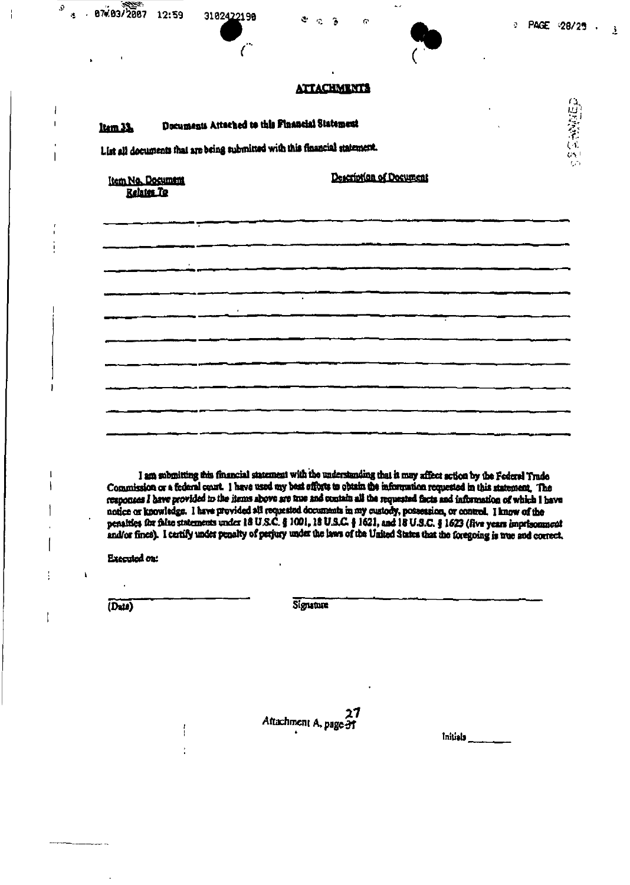$\mathbf{A}$ 

### **ATTACHMENTS**

 $\tilde{\boldsymbol{\sigma}}$ 

 $\mathbf{A}$  $\mathbb{C}$  $\ddot{\phantom{a}}$ 

|                   | List all documents that are being submitted with this financial statement. |  |
|-------------------|----------------------------------------------------------------------------|--|
|                   |                                                                            |  |
| Item No. Document | Description of Document                                                    |  |

I am submitting this financial statement with the understanding that it may affect action by the Federal Trade Commission or a federal court. I have used my best efforts to obtain the information requested in this statement. The responses I have provided to the items above are true and contain all the requested facts and information of which I have notice or knowledge. I have provided all requested documents in my custody, possession, or control. I know of the penalties for faise statements under 18 U.S.C. § 1001, 18 U.S.C. § 1621, and 18 U.S.C. § 1623 (five years imprisonment and/or fines). I certify under penalty of perjury under the laws of the United States that the foregoing is true and coerect.

**Executed ou:** 

 $\mathbf{I}$ 

(Date)

 $\mathbf{r}$ 

 $\Omega$ 

 $\overline{\phantom{a}}$  $\mathbf{I}$ 

 $\mathbf{I}$ 

 $\overline{\mathbf{I}}$ 

 $\hat{\mathbf{a}}$ 

 $-87093/2087$ 

12:59

3102422198

 $\epsilon$ 

**Signature** 

Attachment A, page 31

Initials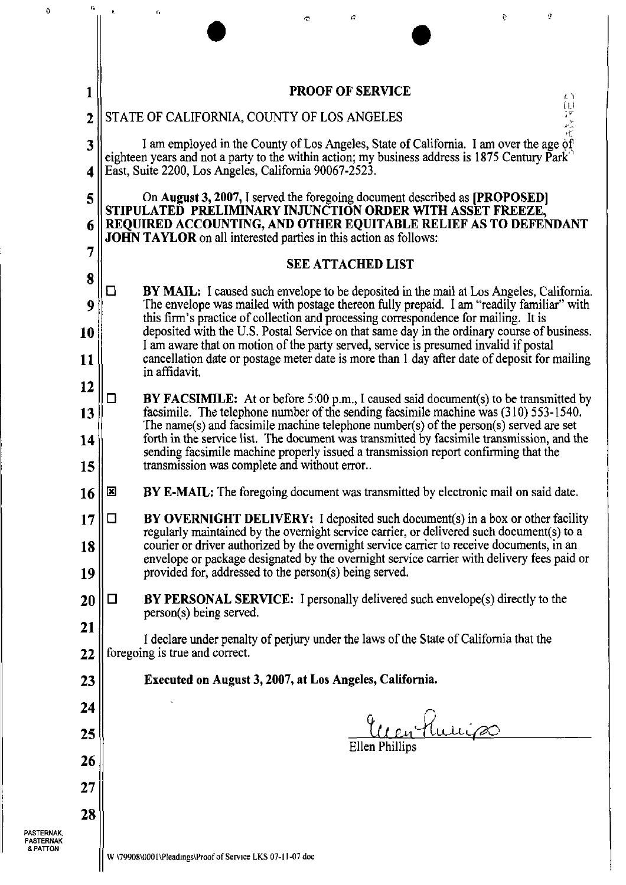| c.             | ŧ,                                                                                                                                                                                                       | $\mathbf{r}_1$ |                                                                |  | c |                          |                                                                                                                                                                                         |  | e | ġ   |
|----------------|----------------------------------------------------------------------------------------------------------------------------------------------------------------------------------------------------------|----------------|----------------------------------------------------------------|--|---|--------------------------|-----------------------------------------------------------------------------------------------------------------------------------------------------------------------------------------|--|---|-----|
|                |                                                                                                                                                                                                          |                |                                                                |  |   |                          |                                                                                                                                                                                         |  |   |     |
| 1              |                                                                                                                                                                                                          |                |                                                                |  |   | <b>PROOF OF SERVICE</b>  |                                                                                                                                                                                         |  |   | ሬ ነ |
| $\overline{2}$ |                                                                                                                                                                                                          |                | STATE OF CALIFORNIA, COUNTY OF LOS ANGELES                     |  |   |                          |                                                                                                                                                                                         |  |   |     |
| 3              |                                                                                                                                                                                                          |                |                                                                |  |   |                          | I am employed in the County of Los Angeles, State of California. I am over the age of                                                                                                   |  |   |     |
| 4              |                                                                                                                                                                                                          |                | East, Suite 2200, Los Angeles, California 90067-2523.          |  |   |                          | eighteen years and not a party to the within action; my business address is 1875 Century Park                                                                                           |  |   |     |
| 5              |                                                                                                                                                                                                          |                |                                                                |  |   |                          | On August 3, 2007, I served the foregoing document described as [PROPOSED]                                                                                                              |  |   |     |
| 6              | stipulateď preliminary injunčtion order with asset freeze,<br>REQUIRED ACCOUNTING, AND OTHER EQUITABLE RELIEF AS TO DEFENDANT<br><b>JOHN TAYLOR</b> on all interested parties in this action as follows: |                |                                                                |  |   |                          |                                                                                                                                                                                         |  |   |     |
| 7              |                                                                                                                                                                                                          |                |                                                                |  |   | <b>SEE ATTACHED LIST</b> |                                                                                                                                                                                         |  |   |     |
| 8              | ◘                                                                                                                                                                                                        |                |                                                                |  |   |                          | <b>BY MAIL:</b> I caused such envelope to be deposited in the mail at Los Angeles, California.                                                                                          |  |   |     |
| 9              |                                                                                                                                                                                                          |                |                                                                |  |   |                          | The envelope was mailed with postage thereon fully prepaid. I am "readily familiar" with<br>this firm's practice of collection and processing correspondence for mailing. It is         |  |   |     |
| 10             |                                                                                                                                                                                                          |                |                                                                |  |   |                          | deposited with the U.S. Postal Service on that same day in the ordinary course of business.<br>I am aware that on motion of the party served, service is presumed invalid if postal     |  |   |     |
| 11             |                                                                                                                                                                                                          | in affidavit.  |                                                                |  |   |                          | cancellation date or postage meter date is more than 1 day after date of deposit for mailing                                                                                            |  |   |     |
| 12             | ◻                                                                                                                                                                                                        |                |                                                                |  |   |                          | <b>BY FACSIMILE:</b> At or before 5:00 p.m., I caused said document(s) to be transmitted by                                                                                             |  |   |     |
| 13             |                                                                                                                                                                                                          |                |                                                                |  |   |                          | facsimile. The telephone number of the sending facsimile machine was (310) 553-1540.<br>The name(s) and facsimile machine telephone number(s) of the person(s) served are set           |  |   |     |
| 14             |                                                                                                                                                                                                          |                |                                                                |  |   |                          | forth in the service list. The document was transmitted by facsimile transmission, and the<br>sending facsimile machine properly issued a transmission report confirming that the       |  |   |     |
| 15             |                                                                                                                                                                                                          |                | transmission was complete and without error                    |  |   |                          |                                                                                                                                                                                         |  |   |     |
| 16             | $\mathbf{z}$                                                                                                                                                                                             |                |                                                                |  |   |                          | <b>BY E-MAIL:</b> The foregoing document was transmitted by electronic mail on said date.                                                                                               |  |   |     |
| 17             | □                                                                                                                                                                                                        |                |                                                                |  |   |                          | BY OVERNIGHT DELIVERY: I deposited such document(s) in a box or other facility<br>regularly maintained by the overnight service carrier, or delivered such document(s) to a             |  |   |     |
| 18             |                                                                                                                                                                                                          |                | provided for, addressed to the person(s) being served.         |  |   |                          | courier or driver authorized by the overnight service carrier to receive documents, in an<br>envelope or package designated by the overnight service carrier with delivery fees paid or |  |   |     |
| 19             |                                                                                                                                                                                                          |                |                                                                |  |   |                          |                                                                                                                                                                                         |  |   |     |
| 20             | □                                                                                                                                                                                                        |                | person(s) being served.                                        |  |   |                          | <b>BY PERSONAL SERVICE:</b> I personally delivered such envelope(s) directly to the                                                                                                     |  |   |     |
| 21<br>22       |                                                                                                                                                                                                          |                | foregoing is true and correct.                                 |  |   |                          | I declare under penalty of perjury under the laws of the State of California that the                                                                                                   |  |   |     |
| 23             |                                                                                                                                                                                                          |                | <b>Executed on August 3, 2007, at Los Angeles, California.</b> |  |   |                          |                                                                                                                                                                                         |  |   |     |
| 24             |                                                                                                                                                                                                          |                |                                                                |  |   |                          |                                                                                                                                                                                         |  |   |     |
| 25             |                                                                                                                                                                                                          |                |                                                                |  |   |                          | Euen Hurris                                                                                                                                                                             |  |   |     |
| 26             |                                                                                                                                                                                                          |                |                                                                |  |   | Ellen Phillips           |                                                                                                                                                                                         |  |   |     |
| 27             |                                                                                                                                                                                                          |                |                                                                |  |   |                          |                                                                                                                                                                                         |  |   |     |
| 28             |                                                                                                                                                                                                          |                |                                                                |  |   |                          |                                                                                                                                                                                         |  |   |     |
|                |                                                                                                                                                                                                          |                |                                                                |  |   |                          |                                                                                                                                                                                         |  |   |     |

PASTERNAK, PASTERNAK & PATTON

o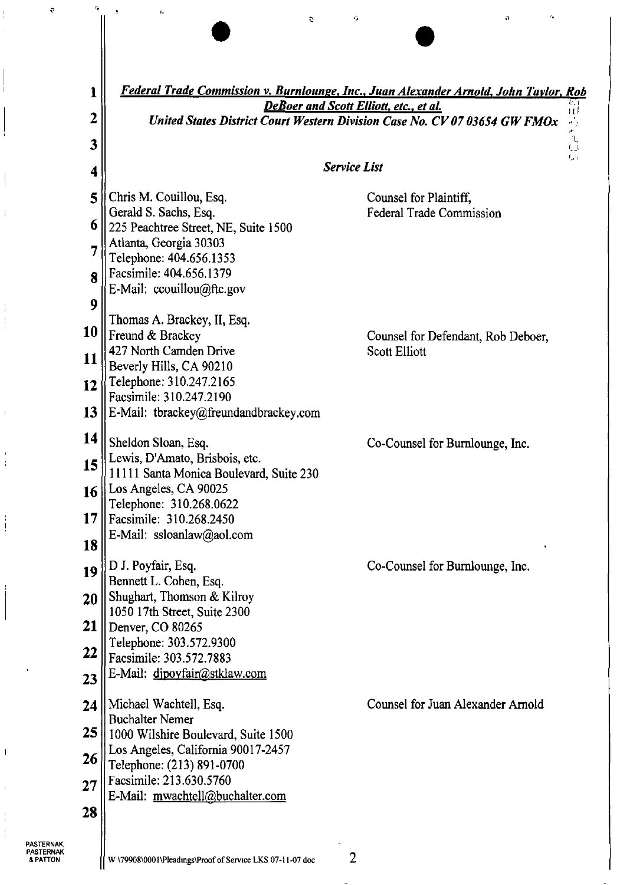| 1<br>2                     | Federal Trade Commission v. Burnlounge, Inc., Juan Alexander Arnold, John Taylor, Rob<br>6. I<br><b>DeBoer and Scott Elliott, etc., et al.</b><br>$\vert \vert \vert$<br>United States District Court Western Division Case No. CV 07 03654 GW FMOx |                                                            |  |  |  |  |  |  |
|----------------------------|-----------------------------------------------------------------------------------------------------------------------------------------------------------------------------------------------------------------------------------------------------|------------------------------------------------------------|--|--|--|--|--|--|
| 3                          | Ľ,                                                                                                                                                                                                                                                  |                                                            |  |  |  |  |  |  |
| 4                          |                                                                                                                                                                                                                                                     | <b>Service List</b>                                        |  |  |  |  |  |  |
| 5<br>6                     | Chris M. Couillou, Esq.<br>Gerald S. Sachs, Esq.<br>225 Peachtree Street, NE, Suite 1500                                                                                                                                                            | Counsel for Plaintiff,<br>Federal Trade Commission         |  |  |  |  |  |  |
| 7<br>8<br>9                | Atlanta, Georgia 30303<br>Telephone: 404.656.1353<br>Facsimile: 404.656.1379<br>E-Mail: ccouillou@ftc.gov                                                                                                                                           |                                                            |  |  |  |  |  |  |
| 10<br>11<br>12<br>13       | Thomas A. Brackey, II, Esq.<br>Freund & Brackey<br>427 North Camden Drive<br>Beverly Hills, CA 90210<br>Telephone: 310.247.2165<br>Facsimile: 310.247.2190<br>E-Mail: tbrackey@freundandbrackey.com                                                 | Counsel for Defendant, Rob Deboer,<br><b>Scott Elliott</b> |  |  |  |  |  |  |
| 14<br>15<br>16<br>17<br>18 | Sheldon Sloan, Esq.<br>Lewis, D'Amato, Brisbois, etc.<br>11111 Santa Monica Boulevard, Suite 230<br>Los Angeles, CA 90025<br>Telephone: 310.268.0622<br>Facsimile: 310.268.2450<br>E-Mail: ssloanlaw@aol.com                                        | Co-Counsel for Burnlounge, Inc.                            |  |  |  |  |  |  |
| 19<br>20<br>21<br>22<br>23 | D J. Poyfair, Esq.<br>Bennett L. Cohen, Esq.<br>Shughart, Thomson & Kilroy<br>1050 17th Street, Suite 2300<br>Denver, CO 80265<br>Telephone: 303.572.9300<br>Facsimile: 303.572.7883<br>E-Mail: dipoyfair@stklaw.com                                | Co-Counsel for Burnlounge, Inc.                            |  |  |  |  |  |  |
| 24<br>25<br>26<br>27<br>28 | Michael Wachtell, Esq.<br><b>Buchalter Nemer</b><br>1000 Wilshire Boulevard, Suite 1500<br>Los Angeles, California 90017-2457<br>Telephone: (213) 891-0700<br>Facsimile: 213.630.5760<br>E-Mail: mwachtell@buchalter.com                            | Counsel for Juan Alexander Arnold                          |  |  |  |  |  |  |

 $\hat{\mathbf{c}}$ 

 $\tilde{\mathcal{F}}$ 

 $\hat{\mathbf{n}}$ 

 $\tilde{\alpha}$ 

**PASTERNAK,<br>PASTERNAK<br>& PATTON** 

 $\circ$ 

 $\frac{1}{4}$ 

 $\overline{\phantom{a}}$ 

 $\frac{1}{4}$  $\frac{1}{4}$ 

 $\bar{1}$ 

 $\overline{1}$  $\frac{1}{4}$ 

 $\frac{1}{4}$ 

 $\overline{\phantom{a}}$ 

 $\frac{1}{4}$  $\frac{1}{4}$   $\tilde{\mathbf{G}}$ 

 $\overline{\mathbf{I}}$ 

 $\bar{\mathbf{z}}$ 

 $\bar{t}_{\rm f}$ 

 $\overline{2}$